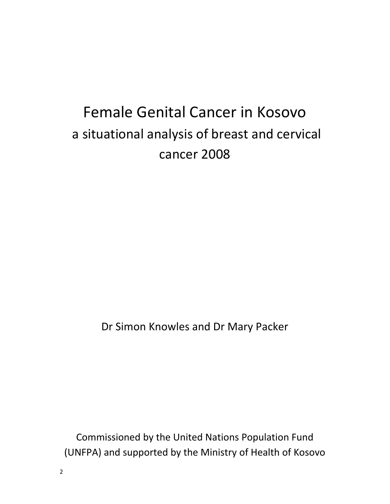# Female Genital Cancer in Kosovo a situational analysis of breast and cervical cancer 2008

Dr Simon Knowles and Dr Mary Packer

Commissioned by the United Nations Population Fund (UNFPA) and supported by the Ministry of Health of Kosovo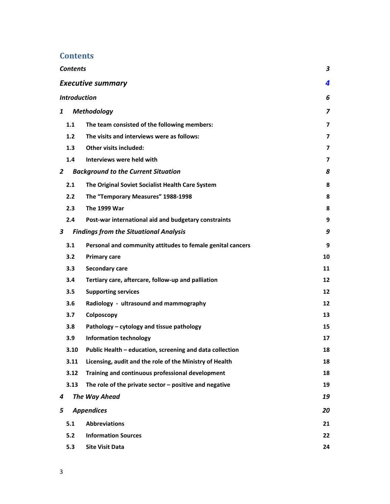### **Contents**

|                                   | <b>Contents</b><br>3          |                                                            |                |  |  |
|-----------------------------------|-------------------------------|------------------------------------------------------------|----------------|--|--|
|                                   | <b>Executive summary</b><br>4 |                                                            |                |  |  |
|                                   | <b>Introduction</b><br>6      |                                                            |                |  |  |
| <b>Methodology</b><br>1           |                               |                                                            | 7              |  |  |
|                                   | 1.1                           | The team consisted of the following members:               | $\overline{7}$ |  |  |
|                                   | 1.2                           | The visits and interviews were as follows:                 | $\overline{7}$ |  |  |
|                                   | 1.3                           | Other visits included:                                     | 7              |  |  |
|                                   | 1.4                           | Interviews were held with                                  | 7              |  |  |
| $\overline{2}$                    |                               | <b>Background to the Current Situation</b>                 | 8              |  |  |
|                                   | 2.1                           | The Original Soviet Socialist Health Care System           | 8              |  |  |
|                                   | 2.2                           | The "Temporary Measures" 1988-1998                         | 8              |  |  |
|                                   | 2.3                           | <b>The 1999 War</b>                                        | 8              |  |  |
|                                   | 2.4                           | Post-war international aid and budgetary constraints       | 9              |  |  |
| 3                                 |                               | <b>Findings from the Situational Analysis</b>              | 9              |  |  |
|                                   | 3.1                           | Personal and community attitudes to female genital cancers | 9              |  |  |
|                                   | 3.2                           | <b>Primary care</b>                                        | 10             |  |  |
|                                   | 3.3                           | <b>Secondary care</b>                                      | 11             |  |  |
|                                   | 3.4                           | Tertiary care, aftercare, follow-up and palliation         | 12             |  |  |
|                                   | 3.5                           | <b>Supporting services</b>                                 | 12             |  |  |
|                                   | 3.6                           | Radiology - ultrasound and mammography                     | 12             |  |  |
|                                   | 3.7                           | Colposcopy                                                 | 13             |  |  |
|                                   | 3.8                           | Pathology - cytology and tissue pathology                  | 15             |  |  |
|                                   | 3.9                           | <b>Information technology</b>                              | 17             |  |  |
|                                   | 3.10                          | Public Health – education, screening and data collection   | 18             |  |  |
|                                   | 3.11                          | Licensing, audit and the role of the Ministry of Health    | 18             |  |  |
|                                   | 3.12                          | Training and continuous professional development           | 18             |  |  |
|                                   | 3.13                          | The role of the private sector $-$ positive and negative   | 19             |  |  |
| 4                                 |                               | The Way Ahead                                              | 19             |  |  |
| 5                                 |                               | <b>Appendices</b>                                          | 20             |  |  |
|                                   | 5.1                           | <b>Abbreviations</b>                                       | 21             |  |  |
| 5.2<br><b>Information Sources</b> |                               | 22                                                         |                |  |  |
|                                   | 5.3                           | <b>Site Visit Data</b>                                     | 24             |  |  |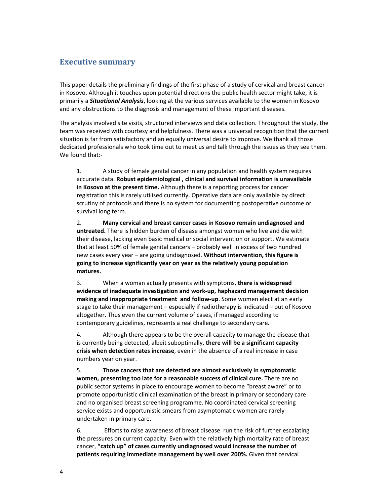### **Executive summary**

This paper details the preliminary findings of the first phase of a study of cervical and breast cancer in Kosovo. Although it touches upon potential directions the public health sector might take, it is primarily a *Situational Analysis*, looking at the various services available to the women in Kosovo and any obstructions to the diagnosis and management of these important diseases.

The analysis involved site visits, structured interviews and data collection. Throughout the study, the team was received with courtesy and helpfulness. There was a universal recognition that the current situation is far from satisfactory and an equally universal desire to improve. We thank all those dedicated professionals who took time out to meet us and talk through the issues as they see them. We found that:-

1. A study of female genital cancer in any population and health system requires accurate data. **Robust epidemiological , clinical and survival information is unavailable in Kosovo at the present time.** Although there is a reporting process for cancer registration this is rarely utilised currently. Operative data are only available by direct scrutiny of protocols and there is no system for documenting postoperative outcome or survival long term.

2. **Many cervical and breast cancer cases in Kosovo remain undiagnosed and untreated.** There is hidden burden of disease amongst women who live and die with their disease, lacking even basic medical or social intervention or support. We estimate that at least 50% of female genital cancers – probably well in excess of two hundred new cases every year – are going undiagnosed. **Without intervention, this figure is going to increase significantly year on year as the relatively young population matures.**

3. When a woman actually presents with symptoms, **there is widespread evidence of inadequate investigation and work‐up, haphazard management decision making and inappropriate treatment and follow‐up**. Some women elect at an early stage to take their management – especially if radiotherapy is indicated – out of Kosovo altogether. Thus even the current volume of cases, if managed according to contemporary guidelines, represents a real challenge to secondary care.

4. Although there appears to be the overall capacity to manage the disease that is currently being detected, albeit suboptimally, **there will be a significant capacity crisis when detection rates increase**, even in the absence of a real increase in case numbers year on year.

5. **Those cancers that are detected are almost exclusively in symptomatic women, presenting too late for a reasonable success of clinical cure.** There are no public sector systems in place to encourage women to become "breast aware" or to promote opportunistic clinical examination of the breast in primary or secondary care and no organised breast screening programme. No coordinated cervical screening service exists and opportunistic smears from asymptomatic women are rarely undertaken in primary care.

6. Efforts to raise awareness of breast disease run the risk of further escalating the pressures on current capacity. Even with the relatively high mortality rate of breast cancer, **"catch up" of cases currently undiagnosed would increase the number of patients requiring immediate management by well over 200%.** Given that cervical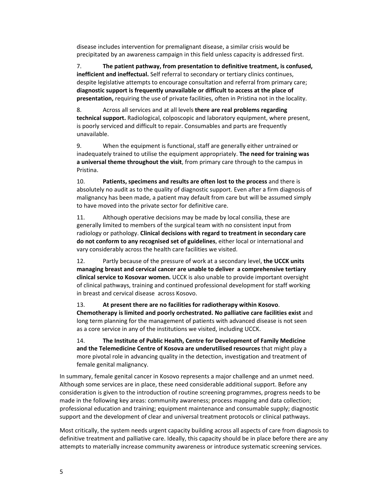disease includes intervention for premalignant disease, a similar crisis would be precipitated by an awareness campaign in this field unless capacity is addressed first.

7. **The patient pathway, from presentation to definitive treatment, is confused, inefficient and ineffectual.** Self referral to secondary or tertiary clinics continues, despite legislative attempts to encourage consultation and referral from primary care; **diagnostic support is frequently unavailable or difficult to access at the place of presentation,** requiring the use of private facilities, often in Pristina not in the locality.

8. Across all services and at all levels **there are real problems regarding technical support.** Radiological, colposcopic and laboratory equipment, where present, is poorly serviced and difficult to repair. Consumables and parts are frequently unavailable.

9. When the equipment is functional, staff are generally either untrained or inadequately trained to utilise the equipment appropriately. **The need for training was a universal theme throughout the visit**, from primary care through to the campus in Pristina.

10. **Patients, specimens and results are often lost to the process** and there is absolutely no audit as to the quality of diagnostic support. Even after a firm diagnosis of malignancy has been made, a patient may default from care but will be assumed simply to have moved into the private sector for definitive care.

11. Although operative decisions may be made by local consilia, these are generally limited to members of the surgical team with no consistent input from radiology or pathology. **Clinical decisions with regard to treatment in secondary care do not conform to any recognised set of guidelines**, either local or international and vary considerably across the health care facilities we visited.

12. Partly because of the pressure of work at a secondary level, **the UCCK units managing breast and cervical cancer are unable to deliver a comprehensive tertiary clinical service to Kosovar women.** UCCK is also unable to provide important oversight of clinical pathways, training and continued professional development for staff working in breast and cervical disease across Kosovo.

13. **At present there are no facilities for radiotherapy within Kosovo**. **Chemotherapy is limited and poorly orchestrated. No palliative care facilities exist** and long term planning for the management of patients with advanced disease is not seen as a core service in any of the institutions we visited, including UCCK.

14. **The Institute of Public Health, Centre for Development of Family Medicine and the Telemedicine Centre of Kosova are underutilised resources** that might play a more pivotal role in advancing quality in the detection, investigation and treatment of female genital malignancy.

In summary, female genital cancer in Kosovo represents a major challenge and an unmet need. Although some services are in place, these need considerable additional support. Before any consideration is given to the introduction of routine screening programmes, progress needs to be made in the following key areas: community awareness; process mapping and data collection; professional education and training; equipment maintenance and consumable supply; diagnostic support and the development of clear and universal treatment protocols or clinical pathways.

Most critically, the system needs urgent capacity building across all aspects of care from diagnosis to definitive treatment and palliative care. Ideally, this capacity should be in place before there are any attempts to materially increase community awareness or introduce systematic screening services.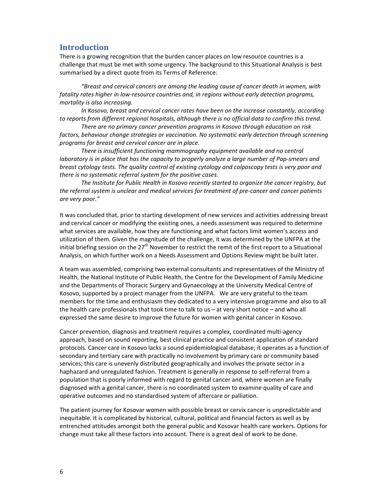### **Introduction**

There is a growing recognition that the burden cancer places on low resource countries is a challenge that must be met with some urgency. The background to this Situational Analysis is best summarised by a direct quote from its Terms of Reference:

*"Breast and cervical cancers are among the leading cause of cancer death in women, with fatality rates higher in low‐resource countries and, in regions without early detection programs, mortality is also increasing.*

*In Kosovo, breast and cervical cancer rates have been on the increase constantly, according to reports from different regional hospitals, although there is no official data to confirm this trend.*

*There are no primary cancer prevention programs in Kosovo through education on risk factors, behaviour change strategies or vaccination. No systematic early detection through screening programs for breast and cervical cancer are in place.* 

*There is insufficient functioning mammography equipment available and no central* laboratory is in place that has the capacity to properly analyze a large number of Pap-smears and *breast cytology tests. The quality control of existing cytology and colposcopy tests is very poor and there is no systematic referral system for the positive cases.* 

*The Institute for Public Health in Kosovo recently started to organize the cancer registry, but the referral system is unclear and medical services for treatment of pre‐cancer and cancer patients are very poor."*

It was concluded that, prior to starting development of new services and activities addressing breast and cervical cancer or modifying the existing ones, a needs assessment was required to determine what services are available, how they are functioning and what factors limit women's access and utilization of them. Given the magnitude of the challenge, it was determined by the UNFPA at the initial briefing session on the  $27<sup>th</sup>$  November to restrict the remit of the first report to a Situational Analysis, on which further work on a Needs Assessment and Options Review might be built later.

A team was assembled, comprising two external consultants and representatives of the Ministry of Health, the National Institute of Public Health, the Centre for the Development of Family Medicine and the Departments of Thoracic Surgery and Gynaecology at the University Medical Centre of Kosovo, supported by a project manager from the UNFPA. We are very grateful to the team members for the time and enthusiasm they dedicated to a very intensive programme and also to all the health care professionals that took time to talk to us – at very short notice – and who all expressed the same desire to improve the future for women with genital cancer in Kosovo.

Cancer prevention, diagnosis and treatment requires a complex, coordinated multi‐agency approach, based on sound reporting, best clinical practice and consistent application of standard protocols. Cancer care in Kosovo lacks a sound epidemiological database; it operates as a function of secondary and tertiary care with practically no involvement by primary care or community based services; this care is unevenly distributed geographically and involves the private sector in a haphazard and unregulated fashion. Treatment is generally in response to self-referral from a population that is poorly informed with regard to genital cancer and, where women are finally diagnosed with a genital cancer, there is no coordinated system to examine quality of care and operative outcomes and no standardised system of aftercare or palliation.

The patient journey for Kosovar women with possible breast or cervix cancer is unpredictable and inequitable. It is complicated by historical, cultural, political and financial factors as well as by entrenched attitudes amongst both the general public and Kosovar health care workers. Options for change must take all these factors into account. There is a great deal of work to be done.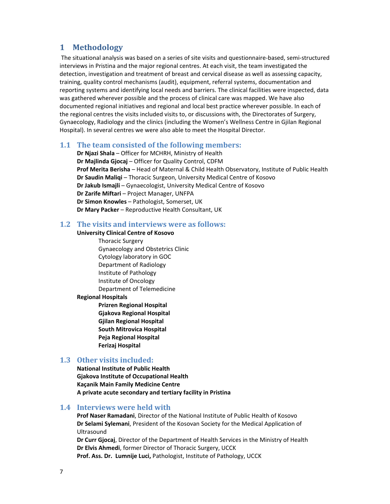### **1 Methodology**

The situational analysis was based on a series of site visits and questionnaire‐based, semi‐structured interviews in Pristina and the major regional centres. At each visit, the team investigated the detection, investigation and treatment of breast and cervical disease as well as assessing capacity, training, quality control mechanisms (audit), equipment, referral systems, documentation and reporting systems and identifying local needs and barriers. The clinical facilities were inspected, data was gathered wherever possible and the process of clinical care was mapped. We have also documented regional initiatives and regional and local best practice wherever possible. In each of the regional centres the visits included visits to, or discussions with, the Directorates of Surgery, Gynaecology, Radiology and the clinics (including the Women's Wellness Centre in Gjilan Regional Hospital). In several centres we were also able to meet the Hospital Director.

### **1.1 The team consisted of the following members:**

**Dr Njazi Shala** – Officer for MCHRH, Ministry of Health **Dr Majlinda Gjocaj** – Officer for Quality Control, CDFM **Prof Merita Berisha** – Head of Maternal & Child Health Observatory, Institute of Public Health **Dr Saudin Maliqi** – Thoracic Surgeon, University Medical Centre of Kosovo **Dr Jakub Ismajli** – Gynaecologist, University Medical Centre of Kosovo **Dr Zarife Miftari** – Project Manager, UNFPA **Dr Simon Knowles** – Pathologist, Somerset, UK **Dr Mary Packer** – Reproductive Health Consultant, UK

### **1.2 The visits and interviews were as follows:**

### **University Clinical Centre of Kosovo**

Thoracic Surgery Gynaecology and Obstetrics Clinic Cytology laboratory in GOC Department of Radiology Institute of Pathology Institute of Oncology Department of Telemedicine

### **Regional Hospitals**

**Prizren Regional Hospital Gjakova Regional Hospital Gjilan Regional Hospital South Mitrovica Hospital Peja Regional Hospital Ferizaj Hospital**

### **1.3 Other visits included:**

**National Institute of Public Health Gjakova Institute of Occupational Health Kaçanik Main Family Medicine Centre A private acute secondary and tertiary facility in Pristina**

### **1.4 Interviews were held with**

**Prof Naser Ramadani**, Director of the National Institute of Public Health of Kosovo **Dr Selami Sylemani**, President of the Kosovan Society for the Medical Application of Ultrasound

**Dr Curr Gjocaj**, Director of the Department of Health Services in the Ministry of Health **Dr Elvis Ahmedi**, former Director of Thoracic Surgery, UCCK **Prof. Ass. Dr. Lumnije Luci,** Pathologist, Institute of Pathology, UCCK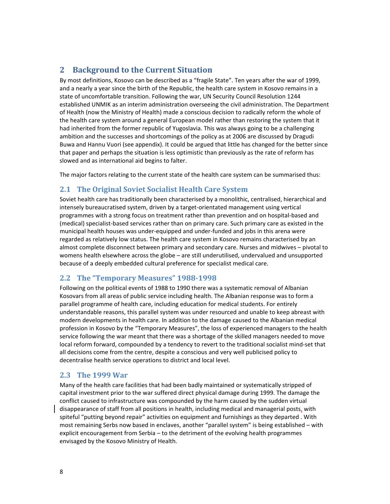### **2 Background to the Current Situation**

By most definitions, Kosovo can be described as a "fragile State". Ten years after the war of 1999, and a nearly a year since the birth of the Republic, the health care system in Kosovo remains in a state of uncomfortable transition. Following the war, UN Security Council Resolution 1244 established UNMIK as an interim administration overseeing the civil administration. The Department of Health (now the Ministry of Health) made a conscious decision to radically reform the whole of the health care system around a general European model rather than restoring the system that it had inherited from the former republic of Yugoslavia. This was always going to be a challenging ambition and the successes and shortcomings of the policy as at 2006 are discussed by Dragudi Buwa and Hannu Vuori (see appendix). It could be argued that little has changed for the better since that paper and perhaps the situation is less optimistic than previously as the rate of reform has slowed and as international aid begins to falter.

The major factors relating to the current state of the health care system can be summarised thus:

### **2.1 The Original Soviet Socialist Health Care System**

Soviet health care has traditionally been characterised by a monolithic, centralised, hierarchical and intensely bureaucratised system, driven by a target‐orientated management using vertical programmes with a strong focus on treatment rather than prevention and on hospital‐based and (medical) specialist‐based services rather than on primary care. Such primary care as existed in the municipal health houses was under‐equipped and under‐funded and jobs in this arena were regarded as relatively low status. The health care system in Kosovo remains characterised by an almost complete disconnect between primary and secondary care. Nurses and midwives – pivotal to womens health elsewhere across the globe – are still underutilised, undervalued and unsupported because of a deeply embedded cultural preference for specialist medical care.

### **2.2 The "Temporary Measures" 19881998**

Following on the political events of 1988 to 1990 there was a systematic removal of Albanian Kosovars from all areas of public service including health. The Albanian response was to form a parallel programme of health care, including education for medical students. For entirely understandable reasons, this parallel system was under resourced and unable to keep abreast with modern developments in health care. In addition to the damage caused to the Albanian medical profession in Kosovo by the "Temporary Measures", the loss of experienced managers to the health service following the war meant that there was a shortage of the skilled managers needed to move local reform forward, compounded by a tendency to revert to the traditional socialist mind‐set that all decisions come from the centre, despite a conscious and very well publicised policy to decentralise health service operations to district and local level.

### **2.3 The 1999 War**

Many of the health care facilities that had been badly maintained or systematically stripped of capital investment prior to the war suffered direct physical damage during 1999. The damage the conflict caused to infrastructure was compounded by the harm caused by the sudden virtual disappearance of staff from all positions in health, including medical and managerial posts, with spiteful "putting beyond repair" activities on equipment and furnishings as they departed . With most remaining Serbs now based in enclaves, another "parallel system" is being established – with explicit encouragement from Serbia – to the detriment of the evolving health programmes envisaged by the Kosovo Ministry of Health.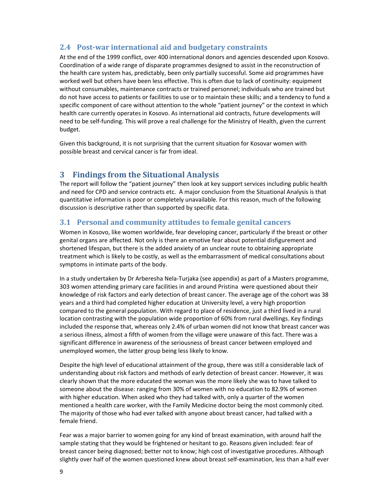### **2.4 Postwar international aid and budgetary constraints**

At the end of the 1999 conflict, over 400 international donors and agencies descended upon Kosovo. Coordination of a wide range of disparate programmes designed to assist in the reconstruction of the health care system has, predictably, been only partially successful. Some aid programmes have worked well but others have been less effective. This is often due to lack of continuity: equipment without consumables, maintenance contracts or trained personnel; individuals who are trained but do not have access to patients or facilities to use or to maintain these skills; and a tendency to fund a specific component of care without attention to the whole "patient journey" or the context in which health care currently operates in Kosovo. As international aid contracts, future developments will need to be self‐funding. This will prove a real challenge for the Ministry of Health, given the current budget.

Given this background, it is not surprising that the current situation for Kosovar women with possible breast and cervical cancer is far from ideal.

### **3 Findings from the Situational Analysis**

The report will follow the "patient journey" then look at key support services including public health and need for CPD and service contracts etc. A major conclusion from the Situational Analysis is that quantitative information is poor or completely unavailable. For this reason, much of the following discussion is descriptive rather than supported by specific data.

### **3.1 Personal and community attitudes to female genital cancers**

Women in Kosovo, like women worldwide, fear developing cancer, particularly if the breast or other genital organs are affected. Not only is there an emotive fear about potential disfigurement and shortened lifespan, but there is the added anxiety of an unclear route to obtaining appropriate treatment which is likely to be costly, as well as the embarrassment of medical consultations about symptoms in intimate parts of the body.

In a study undertaken by Dr Arberesha Nela‐Turjaka (see appendix) as part of a Masters programme, 303 women attending primary care facilities in and around Pristina were questioned about their knowledge of risk factors and early detection of breast cancer. The average age of the cohort was 38 years and a third had completed higher education at University level, a very high proportion compared to the general population. With regard to place of residence, just a third lived in a rural location contrasting with the population wide proportion of 60% from rural dwellings. Key findings included the response that, whereas only 2.4% of urban women did not know that breast cancer was a serious illness, almost a fifth of women from the village were unaware of this fact. There was a significant difference in awareness of the seriousness of breast cancer between employed and unemployed women, the latter group being less likely to know.

Despite the high level of educational attainment of the group, there was still a considerable lack of understanding about risk factors and methods of early detection of breast cancer. However, it was clearly shown that the more educated the woman was the more likely she was to have talked to someone about the disease: ranging from 30% of women with no education to 82.9% of women with higher education. When asked who they had talked with, only a quarter of the women mentioned a health care worker, with the Family Medicine doctor being the most commonly cited. The majority of those who had ever talked with anyone about breast cancer, had talked with a female friend.

Fear was a major barrier to women going for any kind of breast examination, with around half the sample stating that they would be frightened or hesitant to go. Reasons given included: fear of breast cancer being diagnosed; better not to know; high cost of investigative procedures. Although slightly over half of the women questioned knew about breast self‐examination, less than a half ever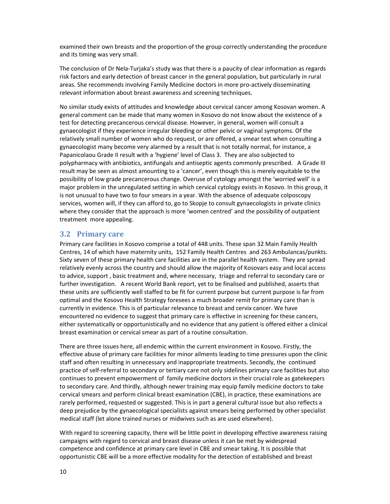examined their own breasts and the proportion of the group correctly understanding the procedure and its timing was very small.

The conclusion of Dr Nela‐Turjaka's study was that there is a paucity of clear information as regards risk factors and early detection of breast cancer in the general population, but particularly in rural areas. She recommends involving Family Medicine doctors in more pro‐actively disseminating relevant information about breast awareness and screening techniques.

No similar study exists of attitudes and knowledge about cervical cancer among Kosovan women. A general comment can be made that many women in Kosovo do not know about the existence of a test for detecting precancerous cervical disease. However, in general, women will consult a gynaecologist if they experience irregular bleeding or other pelvic or vaginal symptoms. Of the relatively small number of women who do request, or are offered, a smear test when consulting a gynaecologist many become very alarmed by a result that is not totally normal, for instance, a Papanicolaou Grade II result with a 'hygiene' level of Class 3. They are also subjected to polypharmacy with antibiotics, antifungals and antiseptic agents commonly prescribed. A Grade III result may be seen as almost amounting to a 'cancer', even though this is merely equitable to the possibility of low grade precancerous change. Overuse of cytology amongst the 'worried well' is a major problem in the unregulated setting in which cervical cytology exists in Kosovo. In this group, it is not unusual to have two to four smears in a year. With the absence of adequate colposcopy services, women will, if they can afford to, go to Skopje to consult gynaecologists in private clinics where they consider that the approach is more 'women centred' and the possibility of outpatient treatment more appealing.

### **3.2 Primary care**

Primary care facilities in Kosovo comprise a total of 448 units. These span 32 Main Family Health Centres, 14 of which have maternity units, 152 Family Health Centres and 263 Ambulancas/punkts. Sixty seven of these primary health care facilities are in the parallel health system. They are spread relatively evenly across the country and should allow the majority of Kosovars easy and local access to advice, support , basic treatment and, where necessary, triage and referral to secondary care or further investigation. A recent World Bank report, yet to be finalised and published, asserts that these units are sufficiently well staffed to be fit for current purpose but current purpose is far from optimal and the Kosovo Health Strategy foresees a much broader remit for primary care than is currently in evidence. This is of particular relevance to breast and cervix cancer. We have encountered no evidence to suggest that primary care is effective in screening for these cancers, either systematically or opportunistically and no evidence that any patient is offered either a clinical breast examination or cervical smear as part of a routine consultation.

There are three issues here, all endemic within the current environment in Kosovo. Firstly, the effective abuse of primary care facilities for minor ailments leading to time pressures upon the clinic staff and often resulting in unnecessary and inappropriate treatments. Secondly, the continued practice of self‐referral to secondary or tertiary care not only sidelines primary care facilities but also continues to prevent empowerment of family medicine doctors in their crucial role as gatekeepers to secondary care. And thirdly, although newer training may equip family medicine doctors to take cervical smears and perform clinical breast examination (CBE), in practice, these examinations are rarely performed, requested or suggested. This is in part a general cultural issue but also reflects a deep prejudice by the gynaecological specialists against smears being performed by other specialist medical staff (let alone trained nurses or midwives such as are used elsewhere).

With regard to screening capacity, there will be little point in developing effective awareness raising campaigns with regard to cervical and breast disease unless it can be met by widespread competence and confidence at primary care level in CBE and smear taking. It is possible that opportunistic CBE will be a more effective modality for the detection of established and breast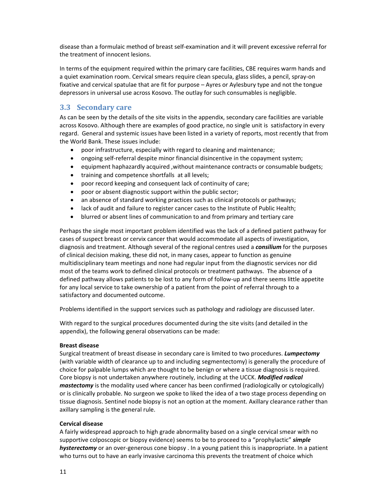disease than a formulaic method of breast self‐examination and it will prevent excessive referral for the treatment of innocent lesions.

In terms of the equipment required within the primary care facilities, CBE requires warm hands and a quiet examination room. Cervical smears require clean specula, glass slides, a pencil, spray‐on fixative and cervical spatulae that are fit for purpose – Ayres or Aylesbury type and not the tongue depressors in universal use across Kosovo. The outlay for such consumables is negligible.

### **3.3 Secondary care**

As can be seen by the details of the site visits in the appendix, secondary care facilities are variable across Kosovo. Although there are examples of good practice, no single unit is satisfactory in every regard. General and systemic issues have been listed in a variety of reports, most recently that from the World Bank. These issues include:

- poor infrastructure, especially with regard to cleaning and maintenance;
- ongoing self‐referral despite minor financial disincentive in the copayment system;
- equipment haphazardly acquired ,without maintenance contracts or consumable budgets;
- training and competence shortfalls at all levels;
- poor record keeping and consequent lack of continuity of care;
- poor or absent diagnostic support within the public sector;
- an absence of standard working practices such as clinical protocols or pathways;
- lack of audit and failure to register cancer cases to the Institute of Public Health;
- blurred or absent lines of communication to and from primary and tertiary care

Perhaps the single most important problem identified was the lack of a defined patient pathway for cases of suspect breast or cervix cancer that would accommodate all aspects of investigation, diagnosis and treatment. Although several of the regional centres used a *consilium* for the purposes of clinical decision making, these did not, in many cases, appear to function as genuine multidisciplinary team meetings and none had regular input from the diagnostic services nor did most of the teams work to defined clinical protocols or treatment pathways. The absence of a defined pathway allows patients to be lost to any form of follow‐up and there seems little appetite for any local service to take ownership of a patient from the point of referral through to a satisfactory and documented outcome.

Problems identified in the support services such as pathology and radiology are discussed later.

With regard to the surgical procedures documented during the site visits (and detailed in the appendix), the following general observations can be made:

### **Breast disease**

Surgical treatment of breast disease in secondary care is limited to two procedures. *Lumpectomy* (with variable width of clearance up to and including segmentectomy) is generally the procedure of choice for palpable lumps which are thought to be benign or where a tissue diagnosis is required. Core biopsy is not undertaken anywhere routinely, including at the UCCK. *Modified radical mastectomy* is the modality used where cancer has been confirmed (radiologically or cytologically) or is clinically probable. No surgeon we spoke to liked the idea of a two stage process depending on tissue diagnosis. Sentinel node biopsy is not an option at the moment. Axillary clearance rather than axillary sampling is the general rule.

### **Cervical disease**

A fairly widespread approach to high grade abnormality based on a single cervical smear with no supportive colposcopic or biopsy evidence) seems to be to proceed to a "prophylactic" *simple hysterectomy* or an over‐generous cone biopsy . In a young patient this is inappropriate. In a patient who turns out to have an early invasive carcinoma this prevents the treatment of choice which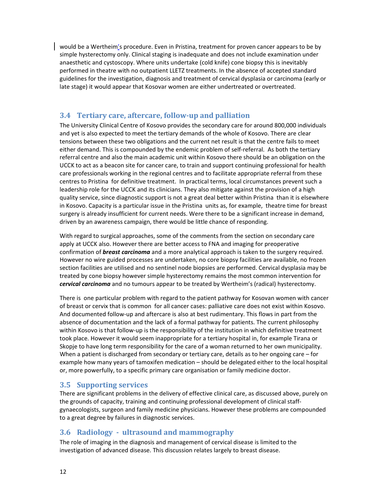would be a Wertheim's procedure. Even in Pristina, treatment for proven cancer appears to be by simple hysterectomy only. Clinical staging is inadequate and does not include examination under anaesthetic and cystoscopy. Where units undertake (cold knife) cone biopsy this is inevitably performed in theatre with no outpatient LLETZ treatments. In the absence of accepted standard guidelines for the investigation, diagnosis and treatment of cervical dysplasia or carcinoma (early or late stage) it would appear that Kosovar women are either undertreated or overtreated.

### **3.4 Tertiary care, aftercare, followup and palliation**

The University Clinical Centre of Kosovo provides the secondary care for around 800,000 individuals and yet is also expected to meet the tertiary demands of the whole of Kosovo. There are clear tensions between these two obligations and the current net result is that the centre fails to meet either demand. This is compounded by the endemic problem of self‐referral. As both the tertiary referral centre and also the main academic unit within Kosovo there should be an obligation on the UCCK to act as a beacon site for cancer care, to train and support continuing professional for health care professionals working in the regional centres and to facilitate appropriate referral from these centres to Pristina for definitive treatment. In practical terms, local circumstances prevent such a leadership role for the UCCK and its clinicians. They also mitigate against the provision of a high quality service, since diagnostic support is not a great deal better within Pristina than it is elsewhere in Kosovo. Capacity is a particular issue in the Pristina units as, for example, theatre time for breast surgery is already insufficient for current needs. Were there to be a significant increase in demand, driven by an awareness campaign, there would be little chance of responding.

With regard to surgical approaches, some of the comments from the section on secondary care apply at UCCK also. However there are better access to FNA and imaging for preoperative confirmation of *breast carcinoma* and a more analytical approach is taken to the surgery required. However no wire guided processes are undertaken, no core biopsy facilities are available, no frozen section facilities are utilised and no sentinel node biopsies are performed. Cervical dysplasia may be treated by cone biopsy however simple hysterectomy remains the most common intervention for *cervical carcinoma* and no tumours appear to be treated by Wertheim's (radical) hysterectomy.

There is one particular problem with regard to the patient pathway for Kosovan women with cancer of breast or cervix that is common for all cancer cases: palliative care does not exist within Kosovo. And documented follow‐up and aftercare is also at best rudimentary. This flows in part from the absence of documentation and the lack of a formal pathway for patients. The current philosophy within Kosovo is that follow‐up is the responsibility of the institution in which definitive treatment took place. However it would seem inappropriate for a tertiary hospital in, for example Tirana or Skopje to have long term responsibility for the care of a woman returned to her own municipality. When a patient is discharged from secondary or tertiary care, details as to her ongoing care – for example how many years of tamoxifen medication – should be delegated either to the local hospital or, more powerfully, to a specific primary care organisation or family medicine doctor.

### **3.5 Supporting services**

There are significant problems in the delivery of effective clinical care, as discussed above, purely on the grounds of capacity, training and continuing professional development of clinical staff‐ gynaecologists, surgeon and family medicine physicians. However these problems are compounded to a great degree by failures in diagnostic services.

### **3.6 Radiology ultrasound and mammography**

The role of imaging in the diagnosis and management of cervical disease is limited to the investigation of advanced disease. This discussion relates largely to breast disease.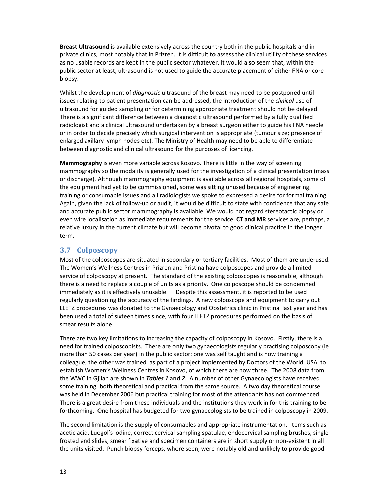**Breast Ultrasound** is available extensively across the country both in the public hospitals and in private clinics, most notably that in Prizren. It is difficult to assess the clinical utility of these services as no usable records are kept in the public sector whatever. It would also seem that, within the public sector at least, ultrasound is not used to guide the accurate placement of either FNA or core biopsy.

Whilst the development of *diagnostic* ultrasound of the breast may need to be postponed until issues relating to patient presentation can be addressed, the introduction of the *clinical* use of ultrasound for guided sampling or for determining appropriate treatment should not be delayed. There is a significant difference between a diagnostic ultrasound performed by a fully qualified radiologist and a clinical ultrasound undertaken by a breast surgeon either to guide his FNA needle or in order to decide precisely which surgical intervention is appropriate (tumour size; presence of enlarged axillary lymph nodes etc). The Ministry of Health may need to be able to differentiate between diagnostic and clinical ultrasound for the purposes of licencing.

**Mammography** is even more variable across Kosovo. There is little in the way of screening mammography so the modality is generally used for the investigation of a clinical presentation (mass or discharge). Although mammography equipment is available across all regional hospitals, some of the equipment had yet to be commissioned, some was sitting unused because of engineering, training or consumable issues and all radiologists we spoke to expressed a desire for formal training. Again, given the lack of follow‐up or audit, it would be difficult to state with confidence that any safe and accurate public sector mammography is available. We would not regard stereotactic biopsy or even wire localisation as immediate requirements for the service. **CT and MR** services are, perhaps, a relative luxury in the current climate but will become pivotal to good clinical practice in the longer term.

### **3.7 Colposcopy**

Most of the colposcopes are situated in secondary or tertiary facilities. Most of them are underused. The Women's Wellness Centres in Prizren and Pristina have colposcopes and provide a limited service of colposcopy at present. The standard of the existing colposcopes is reasonable, although there is a need to replace a couple of units as a priority. One colposcope should be condemned immediately as it is effectively unusable. Despite this assessment, it is reported to be used regularly questioning the accuracy of the findings. A new colposcope and equipment to carry out LLETZ procedures was donated to the Gynaecology and Obstetrics clinic in Pristina last year and has been used a total of sixteen times since, with four LLETZ procedures performed on the basis of smear results alone.

There are two key limitations to increasing the capacity of colposcopy in Kosovo. Firstly, there is a need for trained colposcopists. There are only two gynaecologists regularly practising colposcopy (ie more than 50 cases per year) in the public sector: one was self taught and is now training a colleague; the other was trained as part of a project implemented by Doctors of the World, USA to establish Women's Wellness Centres in Kosovo, of which there are now three. The 2008 data from the WWC in Gjilan are shown in *Tables 1* and *2*. A number of other Gynaecologists have received some training, both theoretical and practical from the same source. A two day theoretical course was held in December 2006 but practical training for most of the attendants has not commenced. There is a great desire from these individuals and the institutions they work in for this training to be forthcoming. One hospital has budgeted for two gynaecologists to be trained in colposcopy in 2009.

The second limitation is the supply of consumables and appropriate instrumentation. Items such as acetic acid, Luegol's iodine, correct cervical sampling spatulae, endocervical sampling brushes, single frosted end slides, smear fixative and specimen containers are in short supply or non-existent in all the units visited. Punch biopsy forceps, where seen, were notably old and unlikely to provide good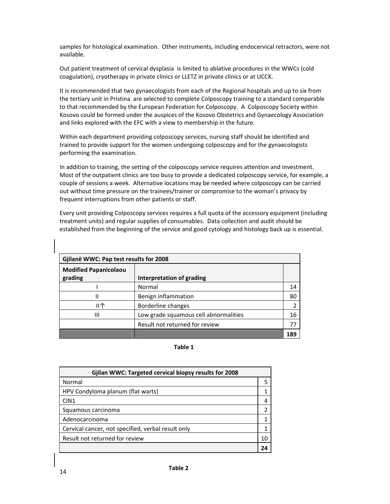samples for histological examination. Other instruments, including endocervical retractors, were not available.

Out patient treatment of cervical dysplasia is limited to ablative procedures in the WWCs (cold coagulation), cryotherapy in private clinics or LLETZ in private clinics or at UCCK.

It is recommended that two gynaecologists from each of the Regional hospitals and up to six from the tertiary unit in Pristina are selected to complete Colposcopy training to a standard comparable to that recommended by the European Federation for Colposcopy. A Colposcopy Society within Kosovo could be formed under the auspices of the Kosovo Obstetrics and Gynaecology Association and links explored with the EFC with a view to membership in the future.

Within each department providing colposcopy services, nursing staff should be identified and trained to provide support for the women undergoing colposcopy and for the gynaecologists performing the examination.

In addition to training, the setting of the colposcopy service requires attention and investment. Most of the outpatient clinics are too busy to provide a dedicated colposcopy service, for example, a couple of sessions a week. Alternative locations may be needed where colposcopy can be carried out without time pressure on the trainees/trainer or compromise to the woman's privacy by frequent interruptions from other patients or staff.

Every unit providing Colposcopy services requires a full quota of the accessory equipment (including treatment units) and regular supplies of consumables. Data collection and audit should be established from the beginning of the service and good cytology and histology back up is essential.

| Gjilanë WWC: Pap test results for 2008  |                                       |  |               |  |  |
|-----------------------------------------|---------------------------------------|--|---------------|--|--|
| <b>Modified Papanicolaou</b><br>grading | <b>Interpretation of grading</b>      |  |               |  |  |
|                                         | Normal                                |  | 14            |  |  |
| II                                      | Benign inflammation                   |  | 80            |  |  |
| Ш个                                      | Borderline changes                    |  | $\mathcal{P}$ |  |  |
| Ш                                       | Low grade squamous cell abnormalities |  | 16            |  |  |
|                                         | Result not returned for review        |  |               |  |  |
|                                         |                                       |  | 189           |  |  |

### **Table 1**

| Gjilan WWC: Targeted cervical biopsy results for 2008 |  |  |
|-------------------------------------------------------|--|--|
| Normal                                                |  |  |
| HPV Condyloma planum (flat warts)                     |  |  |
| CIN <sub>1</sub>                                      |  |  |
| Squamous carcinoma                                    |  |  |
| Adenocarcinoma                                        |  |  |
| Cervical cancer, not specified, verbal result only    |  |  |
| Result not returned for review                        |  |  |
|                                                       |  |  |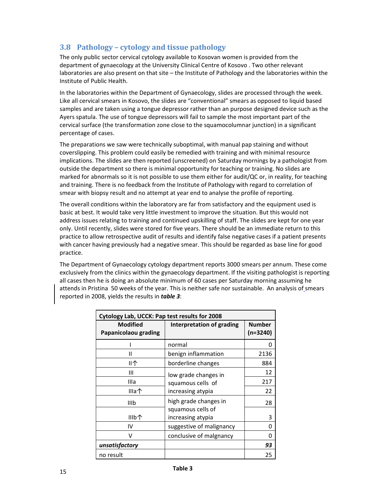### **3.8 Pathology – cytology and tissue pathology**

The only public sector cervical cytology available to Kosovan women is provided from the department of gynaecology at the University Clinical Centre of Kosovo . Two other relevant laboratories are also present on that site – the Institute of Pathology and the laboratories within the Institute of Public Health.

In the laboratories within the Department of Gynaecology, slides are processed through the week. Like all cervical smears in Kosovo, the slides are "conventional" smears as opposed to liquid based samples and are taken using a tongue depressor rather than an purpose designed device such as the Ayers spatula. The use of tongue depressors will fail to sample the most important part of the cervical surface (the transformation zone close to the squamocolumnar junction) in a significant percentage of cases.

The preparations we saw were technically suboptimal, with manual pap staining and without coverslipping. This problem could easily be remedied with training and with minimal resource implications. The slides are then reported (unscreened) on Saturday mornings by a pathologist from outside the department so there is minimal opportunity for teaching or training. No slides are marked for abnormals so it is not possible to use them either for audit/QC or, in reality, for teaching and training. There is no feedback from the Institute of Pathology with regard to correlation of smear with biopsy result and no attempt at year end to analyse the profile of reporting.

The overall conditions within the laboratory are far from satisfactory and the equipment used is basic at best. It would take very little investment to improve the situation. But this would not address issues relating to training and continued upskilling of staff. The slides are kept for one year only. Until recently, slides were stored for five years. There should be an immediate return to this practice to allow retrospective audit of results and identify false negative cases if a patient presents with cancer having previously had a negative smear. This should be regarded as base line for good practice.

The Department of Gynaecology cytology department reports 3000 smears per annum. These come exclusively from the clinics within the gynaecology department. If the visiting pathologist is reporting all cases then he is doing an absolute minimum of 60 cases per Saturday morning assuming he attends in Pristina 50 weeks of the year. This is neither safe nor sustainable. An analysis of smears reported in 2008, yields the results in *table 3*:

| Cytology Lab, UCCK: Pap test results for 2008 |                                           |                    |  |  |  |
|-----------------------------------------------|-------------------------------------------|--------------------|--|--|--|
| <b>Modified</b><br>Papanicolaou grading       | Interpretation of grading                 | Number<br>(n=3240) |  |  |  |
|                                               | normal                                    | ი                  |  |  |  |
| н                                             | benign inflammation                       | 2136               |  |  |  |
| Ⅱ个                                            | borderline changes                        | 884                |  |  |  |
| Ш                                             | low grade changes in<br>squamous cells of | 12                 |  |  |  |
| Illa                                          |                                           | 217                |  |  |  |
| Illa个                                         | increasing atypia                         | 22                 |  |  |  |
| IIIb                                          | high grade changes in                     | 28                 |  |  |  |
| IIIb个                                         | squamous cells of<br>increasing atypia    | 3                  |  |  |  |
| IV                                            | suggestive of malignancy                  | N                  |  |  |  |
| v                                             | conclusive of malgnancy                   | O                  |  |  |  |
| unsatisfactory                                |                                           | 93                 |  |  |  |
| no result                                     |                                           | 25                 |  |  |  |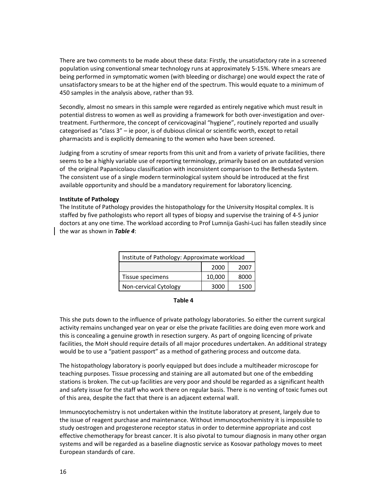There are two comments to be made about these data: Firstly, the unsatisfactory rate in a screened population using conventional smear technology runs at approximately 5‐15%. Where smears are being performed in symptomatic women (with bleeding or discharge) one would expect the rate of unsatisfactory smears to be at the higher end of the spectrum. This would equate to a minimum of 450 samples in the analysis above, rather than 93.

Secondly, almost no smears in this sample were regarded as entirely negative which must result in potential distress to women as well as providing a framework for both over‐investigation and over‐ treatment. Furthermore, the concept of cervicovaginal "hygiene", routinely reported and usually categorised as "class 3" – ie poor, is of dubious clinical or scientific worth, except to retail pharmacists and is explicitly demeaning to the women who have been screened.

Judging from a scrutiny of smear reports from this unit and from a variety of private facilities, there seems to be a highly variable use of reporting terminology, primarily based on an outdated version of the original Papanicolaou classification with inconsistent comparison to the Bethesda System. The consistent use of a single modern terminological system should be introduced at the first available opportunity and should be a mandatory requirement for laboratory licencing.

### **Institute of Pathology**

The Institute of Pathology provides the histopathology for the University Hospital complex. It is staffed by five pathologists who report all types of biopsy and supervise the training of 4‐5 junior doctors at any one time. The workload according to Prof Lumnija Gashi‐Luci has fallen steadily since the war as shown in *Table 4*:

| Institute of Pathology: Approximate workload |        |      |  |
|----------------------------------------------|--------|------|--|
|                                              | 2000   | 2007 |  |
| Tissue specimens                             | 10,000 | 8000 |  |
| Non-cervical Cytology                        | 3000   | 1500 |  |

### **Table 4**

This she puts down to the influence of private pathology laboratories. So either the current surgical activity remains unchanged year on year or else the private facilities are doing even more work and this is concealing a genuine growth in resection surgery. As part of ongoing licencing of private facilities, the MoH should require details of all major procedures undertaken. An additional strategy would be to use a "patient passport" as a method of gathering process and outcome data.

The histopathology laboratory is poorly equipped but does include a multiheader microscope for teaching purposes. Tissue processing and staining are all automated but one of the embedding stations is broken. The cut‐up facilities are very poor and should be regarded as a significant health and safety issue for the staff who work there on regular basis. There is no venting of toxic fumes out of this area, despite the fact that there is an adjacent external wall.

Immunocytochemistry is not undertaken within the Institute laboratory at present, largely due to the issue of reagent purchase and maintenance. Without immunocytochemistry it is impossible to study oestrogen and progesterone receptor status in order to determine appropriate and cost effective chemotherapy for breast cancer. It is also pivotal to tumour diagnosis in many other organ systems and will be regarded as a baseline diagnostic service as Kosovar pathology moves to meet European standards of care.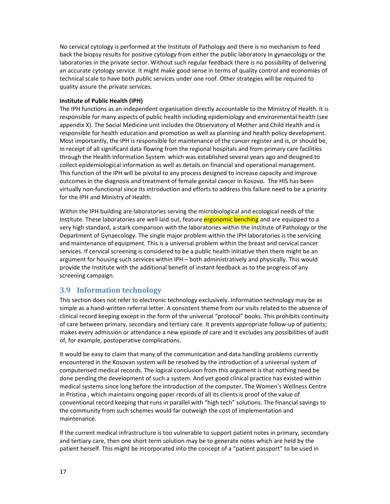No cervical cytology is performed at the Institute of Pathology and there is no mechanism to feed back the biopsy results for positive cytology from either the public laboratory in gynaecology or the laboratories in the private sector. Without such regular feedback there is no possibility of delivering an accurate cytology service. It might make good sense in terms of quality control and economies of technical scale to have both public services under one roof. Other strategies will be required to quality assure the private services.

### **Institute of Public Health (IPH)**

The IPH functions as an independent organisation directly accountable to the Ministry of Health. It is responsible for many aspects of public health including epidemiology and environmental health (see appendix X). The Social Medicine unit includes the Observatory of Mother and Child Health and is responsible for health education and promotion as well as planning and health policy development. Most importantly, the IPH is responsible for maintenance of the cancer register and is, or should be, in receipt of all significant data flowing from the regional hospitals and from primary care facilities through the Health Information System which was established several years ago and designed to collect epidemiological information as well as details on financial and operational management. This function of the IPH will be pivotal to any process designed to increase capacity and improve outcomes in the diagnosis and treatment of female genital cancer in Kosovo. The HIS has been virtually non‐functional since its introduction and efforts to address this failure need to be a priority for the IPH and Ministry of Health.

Within the IPH building are laboratories serving the microbiological and ecological needs of the Institute. These laboratories are well laid out, feature ergonomic benching and are equipped to a very high standard, a stark comparison with the laboratories within the Institute of Pathology or the Department of Gynaecology. The single major problem within the IPH laboratories is the servicing and maintenance of equipment. This is a universal problem within the breast and cervical cancer services. If cervical screening is considered to be a public health initiative then there might be an argument for housing such services within IPH – both administratively and physically. This would provide the Institute with the additional benefit of instant feedback as to the progress of any screening campaign.

### **3.9 Information technology**

This section does not refer to electronic technology exclusively. Information technology may be as simple as a hand-written referral letter. A consistent theme from our visits related to the absence of clinical record keeping except in the form of the universal "protocol" books. This prohibits continuity of care between primary, secondary and tertiary care. It prevents appropriate follow‐up of patients; makes every admission or attendance a new episode of care and it excludes any possibilities of audit of, for example, postoperative complications.

It would be easy to claim that many of the communication and data handling problems currently encountered in the Kosovan system will be resolved by the introduction of a universal system of computerised medical records. The logical conclusion from this argument is that nothing need be done pending the development of such a system. And yet good clinical practice has existed within medical systems since long before the introduction of the computer. The Women's Wellness Centre in Pristina , which maintains ongoing paper records of all its clients is proof of the value of conventional record keeping that runs in parallel with "high tech" solutions. The financial savings to the community from such schemes would far outweigh the cost of implementation and maintenance.

If the current medical infrastructure is too vulnerable to support patient notes in primary, secondary and tertiary care, then one short term solution may be to generate notes which are held by the patient herself. This might be incorporated into the concept of a "patient passport" to be used in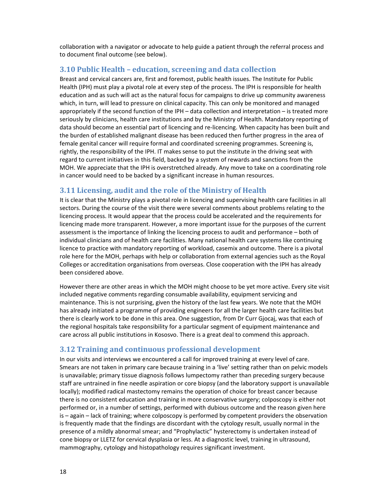collaboration with a navigator or advocate to help guide a patient through the referral process and to document final outcome (see below).

### **3.10 Public Health – education, screening and data collection**

Breast and cervical cancers are, first and foremost, public health issues. The Institute for Public Health (IPH) must play a pivotal role at every step of the process. The IPH is responsible for health education and as such will act as the natural focus for campaigns to drive up community awareness which, in turn, will lead to pressure on clinical capacity. This can only be monitored and managed appropriately if the second function of the IPH – data collection and interpretation – is treated more seriously by clinicians, health care institutions and by the Ministry of Health. Mandatory reporting of data should become an essential part of licencing and re‐licencing. When capacity has been built and the burden of established malignant disease has been reduced then further progress in the area of female genital cancer will require formal and coordinated screening programmes. Screening is, rightly, the responsibility of the IPH. IT makes sense to put the institute in the driving seat with regard to current initiatives in this field, backed by a system of rewards and sanctions from the MOH. We appreciate that the IPH is overstretched already. Any move to take on a coordinating role in cancer would need to be backed by a significant increase in human resources.

### **3.11 Licensing, audit and the role of the Ministry of Health**

It is clear that the Ministry plays a pivotal role in licencing and supervising health care facilities in all sectors. During the course of the visit there were several comments about problems relating to the licencing process. It would appear that the process could be accelerated and the requirements for licencing made more transparent. However, a more important issue for the purposes of the current assessment is the importance of linking the licencing process to audit and performance – both of individual clinicians and of health care facilities. Many national health care systems like continuing licence to practice with mandatory reporting of workload, casemix and outcome. There is a pivotal role here for the MOH, perhaps with help or collaboration from external agencies such as the Royal Colleges or accreditation organisations from overseas. Close cooperation with the IPH has already been considered above.

However there are other areas in which the MOH might choose to be yet more active. Every site visit included negative comments regarding consumable availability, equipment servicing and maintenance. This is not surprising, given the history of the last few years. We note that the MOH has already initiated a programme of providing engineers for all the larger health care facilities but there is clearly work to be done in this area. One suggestion, from Dr Curr Gjocaj, was that each of the regional hospitals take responsibility for a particular segment of equipment maintenance and care across all public institutions in Kososvo. There is a great deal to commend this approach.

### **3.12 Training and continuous professional development**

In our visits and interviews we encountered a call for improved training at every level of care. Smears are not taken in primary care because training in a 'live' setting rather than on pelvic models is unavailable; primary tissue diagnosis follows lumpectomy rather than preceding surgery because staff are untrained in fine needle aspiration or core biopsy (and the laboratory support is unavailable locally); modified radical mastectomy remains the operation of choice for breast cancer because there is no consistent education and training in more conservative surgery; colposcopy is either not performed or, in a number of settings, performed with dubious outcome and the reason given here is – again – lack of training; where colposcopy is performed by competent providers the observation is frequently made that the findings are discordant with the cytology result, usually normal in the presence of a mildly abnormal smear; and "Prophylactic" hysterectomy is undertaken instead of cone biopsy or LLETZ for cervical dysplasia or less. At a diagnostic level, training in ultrasound, mammography, cytology and histopathology requires significant investment.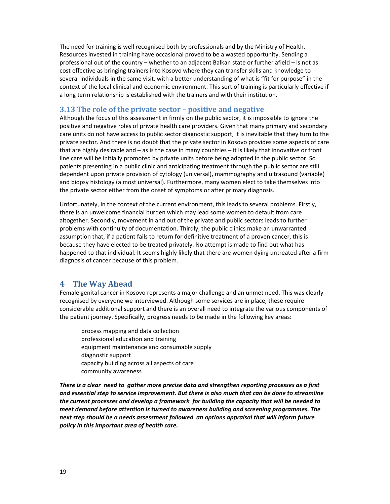The need for training is well recognised both by professionals and by the Ministry of Health. Resources invested in training have occasional proved to be a wasted opportunity. Sending a professional out of the country – whether to an adjacent Balkan state or further afield – is not as cost effective as bringing trainers into Kosovo where they can transfer skills and knowledge to several individuals in the same visit, with a better understanding of what is "fit for purpose" in the context of the local clinical and economic environment. This sort of training is particularly effective if a long term relationship is established with the trainers and with their institution.

### **3.13 The role of the private sector – positive and negative**

Although the focus of this assessment in firmly on the public sector, it is impossible to ignore the positive and negative roles of private health care providers. Given that many primary and secondary care units do not have access to public sector diagnostic support, it is inevitable that they turn to the private sector. And there is no doubt that the private sector in Kosovo provides some aspects of care that are highly desirable and – as is the case in many countries – it is likely that innovative or front line care will be initially promoted by private units before being adopted in the public sector. So patients presenting in a public clinic and anticipating treatment through the public sector are still dependent upon private provision of cytology (universal), mammography and ultrasound (variable) and biopsy histology (almost universal). Furthermore, many women elect to take themselves into the private sector either from the onset of symptoms or after primary diagnosis.

Unfortunately, in the context of the current environment, this leads to several problems. Firstly, there is an unwelcome financial burden which may lead some women to default from care altogether. Secondly, movement in and out of the private and public sectors leads to further problems with continuity of documentation. Thirdly, the public clinics make an unwarranted assumption that, if a patient fails to return for definitive treatment of a proven cancer, this is because they have elected to be treated privately. No attempt is made to find out what has happened to that individual. It seems highly likely that there are women dying untreated after a firm diagnosis of cancer because of this problem.

### **4 The Way Ahead**

Female genital cancer in Kosovo represents a major challenge and an unmet need. This was clearly recognised by everyone we interviewed. Although some services are in place, these require considerable additional support and there is an overall need to integrate the various components of the patient journey. Specifically, progress needs to be made in the following key areas:

process mapping and data collection professional education and training equipment maintenance and consumable supply diagnostic support capacity building across all aspects of care community awareness

There is a clear need to gather more precise data and strengthen reporting processes as a first *and essential step to service improvement. But there is also much that can be done to streamline the current processes and develop a framework for building the capacity that will be needed to meet demand before attention is turned to awareness building and screening programmes. The next step should be a needs assessment followed an options appraisal that will inform future policy in this important area of health care.*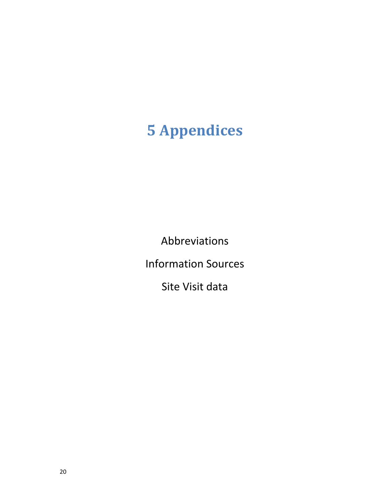# **5 Appendices**

Abbreviations

Information Sources

Site Visit data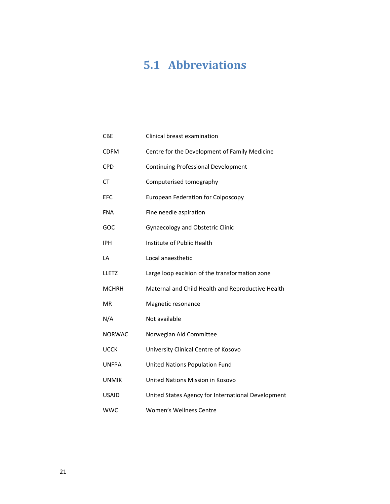## **5.1 Abbreviations**

| <b>CBE</b>    | Clinical breast examination                        |
|---------------|----------------------------------------------------|
| <b>CDFM</b>   | Centre for the Development of Family Medicine      |
| CPD           | <b>Continuing Professional Development</b>         |
| <b>CT</b>     | Computerised tomography                            |
| <b>EFC</b>    | <b>European Federation for Colposcopy</b>          |
| <b>FNA</b>    | Fine needle aspiration                             |
| GOC           | <b>Gynaecology and Obstetric Clinic</b>            |
| <b>IPH</b>    | Institute of Public Health                         |
| LA            | Local anaesthetic                                  |
| <b>LLETZ</b>  | Large loop excision of the transformation zone     |
| <b>MCHRH</b>  | Maternal and Child Health and Reproductive Health  |
| <b>MR</b>     | Magnetic resonance                                 |
| N/A           | Not available                                      |
| <b>NORWAC</b> | Norwegian Aid Committee                            |
| <b>UCCK</b>   | University Clinical Centre of Kosovo               |
| <b>UNFPA</b>  | United Nations Population Fund                     |
| <b>UNMIK</b>  | United Nations Mission in Kosovo                   |
| <b>USAID</b>  | United States Agency for International Development |
| <b>WWC</b>    | Women's Wellness Centre                            |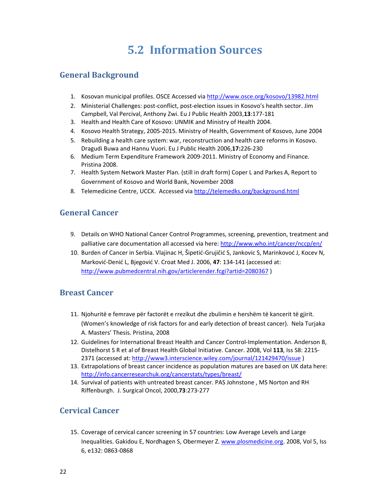## **5.2 Information Sources**

### **General Background**

- 1. Kosovan municipal profiles. OSCE Accessed via http://www.osce.org/kosovo/13982.html
- 2. Ministerial Challenges: post-conflict, post-election issues in Kosovo's health sector. Jim Campbell, Val Percival, Anthony Zwi. Eu J Public Health 2003,**13**:177‐181
- 3. Health and Health Care of Kosovo: UNMIK and Ministry of Health 2004.
- 4. Kosovo Health Strategy, 2005‐2015. Ministry of Health, Government of Kosovo, June 2004
- 5. Rebuilding a health care system: war, reconstruction and health care reforms in Kosovo. Dragudi Buwa and Hannu Vuori. Eu J Public Health 2006,**17:**226‐230
- 6. Medium Term Expenditure Framework 2009‐2011. Ministry of Economy and Finance. Pristina 2008.
- 7. Health System Network Master Plan. (still in draft form) Coper L and Parkes A, Report to Government of Kosovo and World Bank, November 2008
- 8. Telemedicine Centre, UCCK. Accessed via http://telemedks.org/background.html

### **General Cancer**

- 9. Details on WHO National Cancer Control Programmes, screening, prevention, treatment and palliative care documentation all accessed via here: http://www.who.int/cancer/nccp/en/
- 10. Burden of Cancer in Serbia. Vlajinac H, Šipetić‐Grujičić S, Jankovic S, Marinkovoć J, Kocev N, Marković‐Denić L, Bjegović V. Croat Med J. 2006, **47**: 134‐141 (accessed at: http://www.pubmedcentral.nih.gov/articlerender.fcgi?artid=2080367 )

### **Breast Cancer**

- 11. Njohuritë e femrave për factorët e rrezikut dhe zbulimin e hershëm të kancerit të gjirit. (Women's knowledge of risk factors for and early detection of breast cancer). Nela Turjaka A. Masters' Thesis. Pristina, 2008
- 12. Guidelines for International Breast Health and Cancer Control-Implementation. Anderson B, Distelhorst S R et al of Breast Health Global Initiative. Cancer. 2008, Vol **113**, Iss S8: 2215‐ 2371 (accessed at: http://www3.interscience.wiley.com/journal/121429470/issue )
- 13. Extrapolations of breast cancer incidence as population matures are based on UK data here: http://info.cancerresearchuk.org/cancerstats/types/breast/
- 14. Survival of patients with untreated breast cancer. PAS Johnstone , MS Norton and RH Riffenburgh. J. Surgical Oncol, 2000,**73**:273‐277

### **Cervical Cancer**

15. Coverage of cervical cancer screening in 57 countries: Low Average Levels and Large Inequalities. Gakidou E, Nordhagen S, Obermeyer Z. www.plosmedicine.org. 2008, Vol 5, Iss 6, e132: 0863‐0868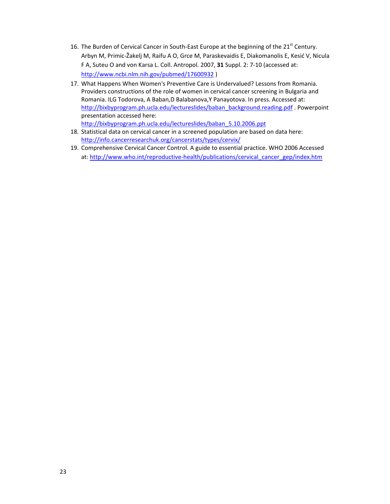- 16. The Burden of Cervical Cancer in South-East Europe at the beginning of the  $21^{st}$  Century. Arbyn M, Primic‐Žakelj M, Raifu A O, Grce M, Paraskevaidis E, Diakomanolis E, Kesić V, Nicula F A, Suteu O and von Karsa L. Coll. Antropol. 2007, **31** Suppl. 2: 7‐10 (accessed at: http://www.ncbi.nlm.nih.gov/pubmed/17600932 )
- 17. What Happens When Women's Preventive Care is Undervalued? Lessons from Romania. Providers constructions of the role of women in cervical cancer screening in Bulgaria and Romania. ILG Todorova, A Baban,D Balabanova,Y Panayotova. In press. Accessed at: http://bixbyprogram.ph.ucla.edu/lectureslides/baban\_background.reading.pdf . Powerpoint presentation accessed here: http://bixbyprogram.ph.ucla.edu/lectureslides/baban\_5.10.2006.ppt
- 18. Statistical data on cervical cancer in a screened population are based on data here: http://info.cancerresearchuk.org/cancerstats/types/cervix/
- 19. Comprehensive Cervical Cancer Control. A guide to essential practice. WHO 2006 Accessed at: http://www.who.int/reproductive-health/publications/cervical\_cancer\_gep/index.htm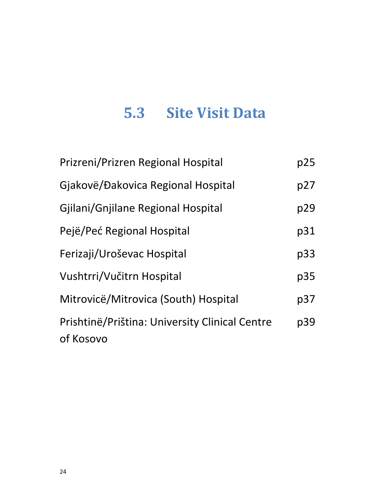# **5.3 Site Visit Data**

| Prizreni/Prizren Regional Hospital                          | p25 |
|-------------------------------------------------------------|-----|
| Giakovë/Đakovica Regional Hospital                          | p27 |
| Gjilani/Gnjilane Regional Hospital                          | p29 |
| Pejë/Peć Regional Hospital                                  | p31 |
| Ferizaji/Uroševac Hospital                                  | p33 |
| Vushtrri/Vučitrn Hospital                                   | p35 |
| Mitrovicë/Mitrovica (South) Hospital                        | p37 |
| Prishtinë/Priština: University Clinical Centre<br>of Kosovo | p39 |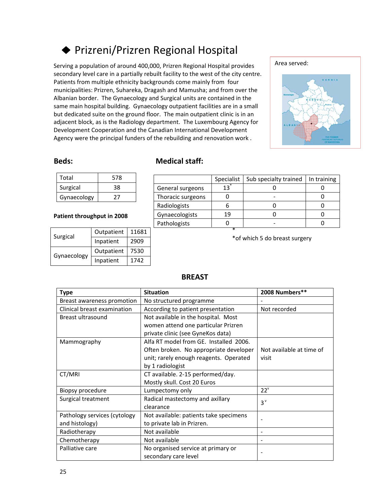### Prizreni/Prizren Regional Hospital

Serving a population of around 400,000, Prizren Regional Hospital provides secondary level care in a partially rebuilt facility to the west of the city centre. Patients from multiple ethnicity backgrounds come mainly from four municipalities: Prizren, Suhareka, Dragash and Mamusha; and from over the Albanian border. The Gynaecology and Surgical units are contained in the same main hospital building. Gynaecology outpatient facilities are in a small but dedicated suite on the ground floor. The main outpatient clinic is in an adjacent block, as is the Radiology department. The Luxembourg Agency for Development Cooperation and the Canadian International Development Agency were the principal funders of the rebuilding and renovation work .



| Total       | 578 |  |
|-------------|-----|--|
| Surgical    | 38  |  |
| Gynaecology |     |  |

### **Patient throughput in 2008**

| Surgical    | Outpatient        | 11681 |
|-------------|-------------------|-------|
|             | Inpatient<br>2909 |       |
|             | Outpatient        | 7530  |
| Gynaecology | Inpatient         | 1742  |

### **Beds: Medical staff:**

|                   | Specialist | Sub specialty trained | In training |
|-------------------|------------|-----------------------|-------------|
| General surgeons  | 13         |                       |             |
| Thoracic surgeons |            |                       |             |
| Radiologists      |            |                       |             |
| Gynaecologists    | 19         |                       |             |
| Pathologists      |            |                       |             |
|                   | ж          |                       |             |

\*of which 5 do breast surgery

| <b>Type</b>                  | <b>Situation</b>                       | 2008 Numbers**           |
|------------------------------|----------------------------------------|--------------------------|
| Breast awareness promotion   | No structured programme                |                          |
| Clinical breast examination  | According to patient presentation      | Not recorded             |
| Breast ultrasound            | Not available in the hospital. Most    |                          |
|                              | women attend one particular Prizren    |                          |
|                              | private clinic (see GyneKos data)      |                          |
| Mammography                  | Alfa RT model from GE. Installed 2006. |                          |
|                              | Often broken. No appropriate developer | Not available at time of |
|                              | unit; rarely enough reagents. Operated | visit                    |
|                              | by 1 radiologist                       |                          |
| CT/MRI                       | CT available. 2-15 performed/day.      |                          |
|                              | Mostly skull. Cost 20 Euros            |                          |
| Biopsy procedure             | Lumpectomy only                        | $22^v$                   |
| Surgical treatment           | Radical mastectomy and axillary        | $3^v$                    |
|                              | clearance                              |                          |
| Pathology services (cytology | Not available: patients take specimens | $\overline{\phantom{a}}$ |
| and histology)               | to private lab in Prizren.             |                          |
| Radiotherapy                 | Not available                          |                          |
| Chemotherapy                 | Not available                          | $\overline{\phantom{a}}$ |
| Palliative care              | No organised service at primary or     |                          |
|                              | secondary care level                   |                          |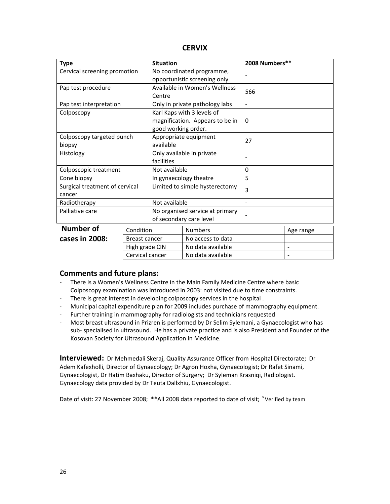| <b>Type</b>                     |  | <b>Situation</b>                |                                 | 2008 Numbers** |           |
|---------------------------------|--|---------------------------------|---------------------------------|----------------|-----------|
| Cervical screening promotion    |  | No coordinated programme,       |                                 |                |           |
|                                 |  |                                 | opportunistic screening only    |                |           |
| Pap test procedure              |  |                                 | Available in Women's Wellness   | 566            |           |
|                                 |  | Centre                          |                                 |                |           |
| Pap test interpretation         |  |                                 | Only in private pathology labs  |                |           |
| Colposcopy                      |  |                                 | Karl Kaps with 3 levels of      |                |           |
|                                 |  |                                 | magnification. Appears to be in | $\Omega$       |           |
|                                 |  | good working order.             |                                 |                |           |
| Colposcopy targeted punch       |  |                                 | Appropriate equipment<br>27     |                |           |
| biopsy                          |  | available                       |                                 |                |           |
| Histology                       |  | Only available in private       |                                 |                |           |
|                                 |  | facilities                      |                                 |                |           |
| Colposcopic treatment           |  | Not available                   |                                 | 0              |           |
| Cone biopsy                     |  | In gynaecology theatre          |                                 | 5              |           |
| Surgical treatment of cervical  |  | Limited to simple hysterectomy  |                                 | 3              |           |
| cancer                          |  |                                 |                                 |                |           |
| Radiotherapy                    |  | Not available                   |                                 |                |           |
| Palliative care                 |  | No organised service at primary |                                 |                |           |
|                                 |  | of secondary care level         |                                 |                |           |
| <b>Number of</b><br>Condition   |  |                                 | <b>Numbers</b>                  |                | Age range |
| cases in 2008:<br>Breast cancer |  |                                 | No access to data               |                |           |
| High grade CIN                  |  |                                 | No data available               |                |           |

### **Comments and future plans:**

- ‐ There is a Women's Wellness Centre in the Main Family Medicine Centre where basic Colposcopy examination was introduced in 2003: not visited due to time constraints.
- ‐ There is great interest in developing colposcopy services in the hospital .
- ‐ Municipal capital expenditure plan for 2009 includes purchase of mammography equipment.
- ‐ Further training in mammography for radiologists and technicians requested
- ‐ Most breast ultrasound in Prizren is performed by Dr Selim Sylemani, a Gynaecologist who has sub- specialised in ultrasound. He has a private practice and is also President and Founder of the Kosovan Society for Ultrasound Application in Medicine.

Cervical cancer  $\vert$  No data available  $\vert$  -

**Interviewed:** Dr Mehmedali Skeraj, Quality Assurance Officer from Hospital Directorate; Dr Adem Kafexholli, Director of Gynaecology; Dr Agron Hoxha, Gynaecologist; Dr Rafet Sinami, Gynaecologist, Dr Hatim Baxhaku, Director of Surgery; Dr Syleman Krasniqi, Radiologist. Gynaecology data provided by Dr Teuta Dallxhiu, Gynaecologist.

Date of visit: 27 November 2008; \*\*All 2008 data reported to date of visit; Yerified by team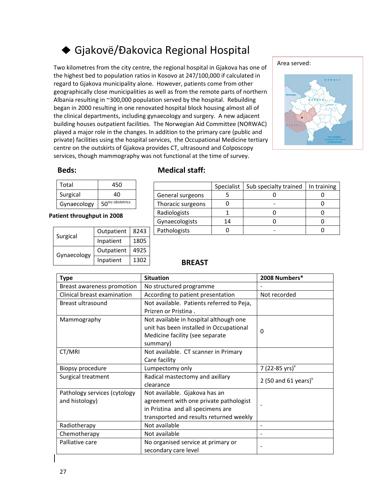## ◆ Gjakovë/Đakovica Regional Hospital

Two kilometres from the city centre, the regional hospital in Gjakova has one of the highest bed to population ratios in Kosovo at 247/100,000 if calculated in regard to Gjakova municipality alone. However, patients come from other geographically close municipalities as well as from the remote parts of northern Albania resulting in ~300,000 population served by the hospital. Rebuilding began in 2000 resulting in one renovated hospital block housing almost all of the clinical departments, including gynaecology and surgery. A new adjacent building houses outpatient facilities. The Norwegian Aid Committee (NORWAC) played a major role in the changes. In addition to the primary care (public and private) facilities using the hospital services, the Occupational Medicine tertiary centre on the outskirts of Gjakova provides CT, ultrasound and Colposcopy services, though mammography was not functional at the time of survey.



| Total       | 450                          |
|-------------|------------------------------|
| Surgical    | 40                           |
| Gynaecology | 50 <sup>inc obstetrics</sup> |

**Patient throughput in 2008**

| Surgical    | Outpatient | 8243 |
|-------------|------------|------|
|             | Inpatient  | 1805 |
| Gynaecology | Outpatient | 4925 |
|             | Inpatient  | 1302 |

### **Beds: Medical staff:**

|                   | Specialist | Sub specialty trained | In training |
|-------------------|------------|-----------------------|-------------|
| General surgeons  |            |                       |             |
| Thoracic surgeons |            |                       |             |
| Radiologists      |            |                       |             |
| Gynaecologists    | 14         |                       |             |
| Pathologists      |            |                       |             |

| <b>Type</b>                  | <b>Situation</b>                          | 2008 Numbers*           |
|------------------------------|-------------------------------------------|-------------------------|
| Breast awareness promotion   | No structured programme                   |                         |
| Clinical breast examination  | According to patient presentation         | Not recorded            |
| Breast ultrasound            | Not available. Patients referred to Peja, |                         |
|                              | Prizren or Pristina.                      |                         |
| Mammography                  | Not available in hospital although one    |                         |
|                              | unit has been installed in Occupational   | 0                       |
|                              | Medicine facility (see separate           |                         |
|                              | summary)                                  |                         |
| CT/MRI                       | Not available. CT scanner in Primary      |                         |
|                              | Care facility                             |                         |
| Biopsy procedure             | Lumpectomy only                           | 7 (22-85 yrs) $v$       |
| Surgical treatment           | Radical mastectomy and axillary           | 2 (50 and 61 years) $v$ |
|                              | clearance                                 |                         |
| Pathology services (cytology | Not available. Gjakova has an             |                         |
| and histology)               | agreement with one private pathologist    |                         |
|                              | in Pristina and all specimens are         |                         |
|                              | transported and results returned weekly   |                         |
| Radiotherapy                 | Not available                             |                         |
| Chemotherapy                 | Not available                             |                         |
| Palliative care              | No organised service at primary or        |                         |
|                              | secondary care level                      |                         |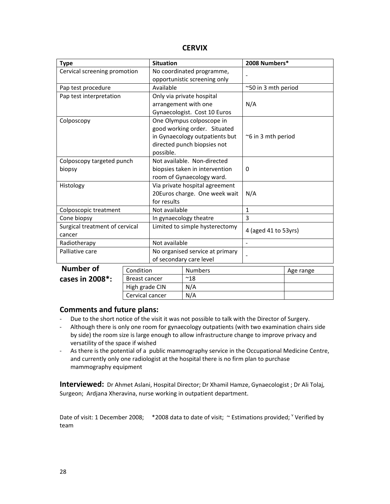| <b>Type</b>                    | <b>Situation</b> |                                 |                                | 2008 Numbers*        |           |
|--------------------------------|------------------|---------------------------------|--------------------------------|----------------------|-----------|
| Cervical screening promotion   |                  | No coordinated programme,       |                                |                      |           |
|                                |                  | opportunistic screening only    |                                |                      |           |
| Pap test procedure             |                  | Available                       |                                | ~50 in 3 mth period  |           |
| Pap test interpretation        |                  |                                 | Only via private hospital      |                      |           |
|                                |                  |                                 | arrangement with one           | N/A                  |           |
|                                |                  |                                 | Gynaecologist. Cost 10 Euros   |                      |           |
| Colposcopy                     |                  |                                 | One Olympus colposcope in      |                      |           |
|                                |                  |                                 | good working order. Situated   |                      |           |
|                                |                  |                                 | in Gynaecology outpatients but | ~6 in 3 mth period   |           |
|                                |                  |                                 | directed punch biopsies not    |                      |           |
|                                |                  | possible.                       |                                |                      |           |
| Colposcopy targeted punch      |                  |                                 | Not available. Non-directed    |                      |           |
| biopsy                         |                  |                                 | biopsies taken in intervention | $\Omega$             |           |
|                                |                  |                                 | room of Gynaecology ward.      |                      |           |
| Histology                      |                  | Via private hospital agreement  |                                |                      |           |
|                                |                  |                                 | 20Euros charge. One week wait  | N/A                  |           |
|                                |                  | for results                     |                                |                      |           |
| Colposcopic treatment          |                  | Not available                   |                                | $\mathbf{1}$         |           |
| Cone biopsy                    |                  |                                 | In gynaecology theatre         | 3                    |           |
| Surgical treatment of cervical |                  |                                 | Limited to simple hysterectomy | 4 (aged 41 to 53yrs) |           |
| cancer                         |                  |                                 |                                |                      |           |
| Radiotherapy                   |                  | Not available                   |                                | $\overline{a}$       |           |
| Palliative care                |                  | No organised service at primary |                                |                      |           |
|                                |                  | of secondary care level         |                                |                      |           |
| <b>Number of</b>               | Condition        | <b>Numbers</b>                  |                                |                      | Age range |
| cases in 2008*:                | Breast cancer    |                                 | $~^{\sim}18$                   |                      |           |
|                                | High grade CIN   |                                 | N/A                            |                      |           |
|                                | Cervical cancer  |                                 | N/A                            |                      |           |

### **Comments and future plans:**

- ‐ Due to the short notice of the visit it was not possible to talk with the Director of Surgery.
- ‐ Although there is only one room for gynaecology outpatients (with two examination chairs side by side) the room size is large enough to allow infrastructure change to improve privacy and versatility of the space if wished
- ‐ As there is the potential of a public mammography service in the Occupational Medicine Centre, and currently only one radiologist at the hospital there is no firm plan to purchase mammography equipment

**Interviewed:** Dr Ahmet Aslani, Hospital Director; Dr Xhamil Hamze, Gynaecologist ; Dr Ali Tolaj, Surgeon; Ardjana Xheravina, nurse working in outpatient department.

Date of visit: 1 December 2008; \*2008 data to date of visit;  $\sim$  Estimations provided; <sup>v</sup> Verified by team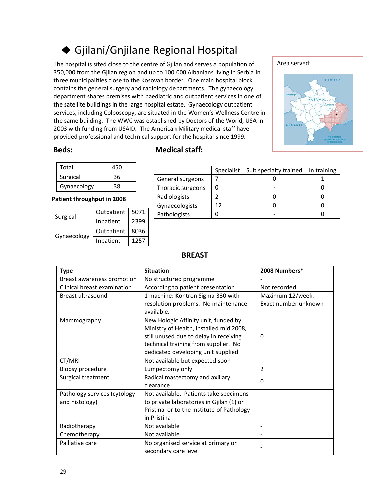## Gjilani/Gnjilane Regional Hospital

 The hospital is sited close to the centre of Gjilan and serves a population of 350,000 from the Gjilan region and up to 100,000 Albanians living in Serbia in three municipalities close to the Kosovan border. One main hospital block contains the general surgery and radiology departments. The gynaecology department shares premises with paediatric and outpatient services in one of the satellite buildings in the large hospital estate. Gynaecology outpatient services, including Colposcopy, are situated in the Women's Wellness Centre in the same building. The WWC was established by Doctors of the World, USA in 2003 with funding from USAID. The American Military medical staff have provided professional and technical support for the hospital since 1999.



| Total       | 450 |
|-------------|-----|
| Surgical    | 36  |
| Gynaecology | 38  |

### **Patient throughput in 2008**

| Surgical    | Outpatient | 5071 |
|-------------|------------|------|
|             | Inpatient  | 2399 |
| Gynaecology | Outpatient | 8036 |
|             | Inpatient  | 1257 |

### **Beds: Medical staff:**

|                   | Specialist | Sub specialty trained | In training |
|-------------------|------------|-----------------------|-------------|
| General surgeons  |            |                       |             |
| Thoracic surgeons |            |                       |             |
| Radiologists      |            |                       |             |
| Gynaecologists    |            |                       |             |
| Pathologists      |            |                       |             |

| <b>Type</b>                  | <b>Situation</b>                          | 2008 Numbers*        |
|------------------------------|-------------------------------------------|----------------------|
| Breast awareness promotion   | No structured programme                   |                      |
| Clinical breast examination  | According to patient presentation         | Not recorded         |
| Breast ultrasound            | 1 machine: Kontron Sigma 330 with         | Maximum 12/week.     |
|                              | resolution problems. No maintenance       | Exact number unknown |
|                              | available.                                |                      |
| Mammography                  | New Hologic Affinity unit, funded by      |                      |
|                              | Ministry of Health, installed mid 2008,   |                      |
|                              | still unused due to delay in receiving    | 0                    |
|                              | technical training from supplier. No      |                      |
|                              | dedicated developing unit supplied.       |                      |
| CT/MRI                       | Not available but expected soon           |                      |
| Biopsy procedure             | Lumpectomy only                           | $\overline{2}$       |
| Surgical treatment           | Radical mastectomy and axillary           | 0                    |
|                              | clearance                                 |                      |
| Pathology services (cytology | Not available. Patients take specimens    |                      |
| and histology)               | to private laboratories in Gjilan (1) or  |                      |
|                              | Pristina or to the Institute of Pathology |                      |
|                              | in Pristina                               |                      |
| Radiotherapy                 | Not available                             |                      |
| Chemotherapy                 | Not available                             | $\blacksquare$       |
| Palliative care              | No organised service at primary or        |                      |
|                              | secondary care level                      |                      |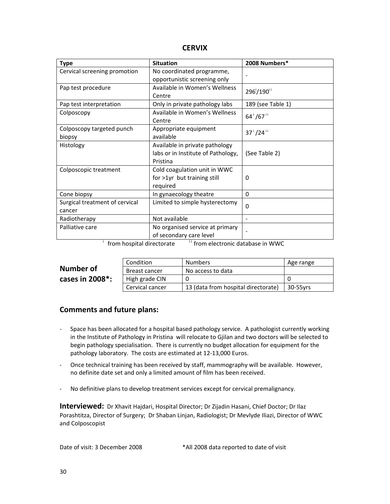| <b>Type</b>                    | <b>Situation</b>                   | 2008 Numbers*                      |
|--------------------------------|------------------------------------|------------------------------------|
| Cervical screening promotion   | No coordinated programme,          |                                    |
|                                | opportunistic screening only       |                                    |
| Pap test procedure             | Available in Women's Wellness      | 296 <sup>'</sup> /190 <sup>'</sup> |
|                                | Centre                             |                                    |
| Pap test interpretation        | Only in private pathology labs     | 189 (see Table 1)                  |
| Colposcopy                     | Available in Women's Wellness      | $64^{i}/67^{i}$                    |
|                                | Centre                             |                                    |
| Colposcopy targeted punch      | Appropriate equipment              | $37^{1}/24^{11}$                   |
| biopsy                         | available                          |                                    |
| Histology                      | Available in private pathology     |                                    |
|                                | labs or in Institute of Pathology, | (See Table 2)                      |
|                                | Pristina                           |                                    |
| Colposcopic treatment          | Cold coagulation unit in WWC       |                                    |
|                                | for >1yr but training still        | 0                                  |
|                                | required                           |                                    |
| Cone biopsy                    | In gynaecology theatre             | $\Omega$                           |
| Surgical treatment of cervical | Limited to simple hysterectomy     | $\Omega$                           |
| cancer                         |                                    |                                    |
| Radiotherapy                   | Not available                      |                                    |
| Palliative care                | No organised service at primary    |                                    |
|                                | of secondary care level            |                                    |

 $\frac{1}{1}$  from hospital directorate  $\frac{1}{1}$  from electronic database in WWC

|                                | Condition       | Numbers                             | Age range |
|--------------------------------|-----------------|-------------------------------------|-----------|
| Number of                      | Breast cancer   | No access to data                   |           |
| cases in $2008$ <sup>*</sup> : | High grade CIN  |                                     |           |
|                                | Cervical cancer | 13 (data from hospital directorate) | 30-55 vrs |

### **Comments and future plans:**

- ‐ Space has been allocated for a hospital based pathology service. A pathologist currently working in the Institute of Pathology in Pristina will relocate to Gjilan and two doctors will be selected to begin pathology specialisation. There is currently no budget allocation for equipment for the pathology laboratory. The costs are estimated at 12‐13,000 Euros.
- ‐ Once technical training has been received by staff, mammography will be available. However, no definite date set and only a limited amount of film has been received.
- ‐ No definitive plans to develop treatment services except for cervical premalignancy.

**Interviewed:** Dr Xhavit Hajdari, Hospital Director; Dr Zijadin Hasani, Chief Doctor; Dr Ilaz Porashtitza, Director of Surgery; Dr Shaban Linjan, Radiologist; Dr Mevlyde Iliazi, Director of WWC and Colposcopist

Date of visit: 3 December 2008 \*All 2008 data reported to date of visit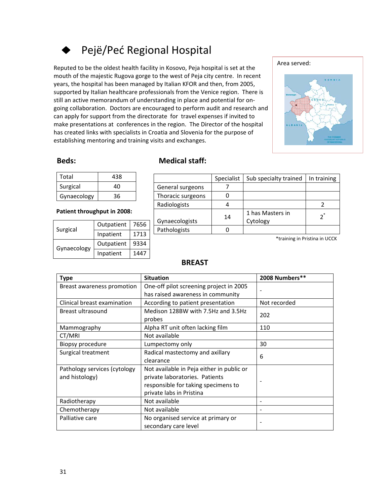## Pejë/Peć Regional Hospital

Reputed to be the oldest health facility in Kosovo, Peja hospital is set at the mouth of the majestic Rugova gorge to the west of Peja city centre. In recent years, the hospital has been managed by Italian KFOR and then, from 2005, supported by Italian healthcare professionals from the Venice region. There is still an active memorandum of understanding in place and potential for on‐ going collaboration. Doctors are encouraged to perform audit and research and can apply for support from the directorate for travel expenses if invited to make presentations at conferences in the region. The Director of the hospital has created links with specialists in Croatia and Slovenia for the purpose of establishing mentoring and training visits and exchanges.



### **Beds: Medical staff:**

| Total       | 438 |
|-------------|-----|
| Surgical    | 40  |
| Gynaecology | 36  |

### **Patient throughput in 2008:**

| Surgical    | Outpatient | 7656 |
|-------------|------------|------|
|             | Inpatient  | 1713 |
| Gynaecology | Outpatient | 9334 |
|             | Inpatient  | 1447 |

|                   | Specialist | Sub specialty trained        | In training |
|-------------------|------------|------------------------------|-------------|
| General surgeons  |            |                              |             |
| Thoracic surgeons |            |                              |             |
| Radiologists      |            |                              |             |
| Gynaecologists    | 14         | 1 has Masters in<br>Cytology | $2^*$       |
| Pathologists      |            |                              |             |

\*training in Pristina in UCCK

| <b>Type</b>                  | <b>Situation</b>                             | 2008 Numbers** |
|------------------------------|----------------------------------------------|----------------|
| Breast awareness promotion   | One-off pilot screening project in 2005      |                |
|                              | has raised awareness in community            |                |
| Clinical breast examination  | According to patient presentation            | Not recorded   |
| Breast ultrasound            | Medison 128BW with 7.5Hz and 3.5Hz<br>probes | 202            |
| Mammography                  | Alpha RT unit often lacking film             | 110            |
| CT/MRI                       | Not available                                |                |
| Biopsy procedure             | Lumpectomy only                              | 30             |
| Surgical treatment           | Radical mastectomy and axillary              | 6              |
|                              | clearance                                    |                |
| Pathology services (cytology | Not available in Peja either in public or    |                |
| and histology)               | private laboratories. Patients               |                |
|                              | responsible for taking specimens to          |                |
|                              | private labs in Pristina                     |                |
| Radiotherapy                 | Not available                                |                |
| Chemotherapy                 | Not available                                |                |
| Palliative care              | No organised service at primary or           |                |
|                              | secondary care level                         |                |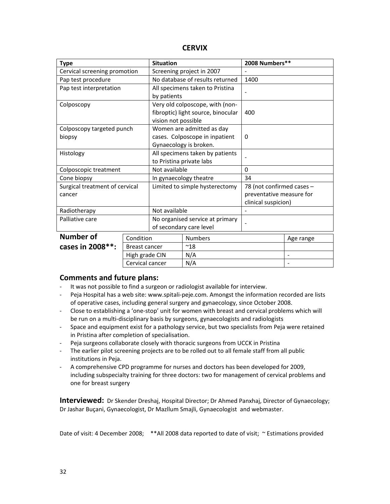| <b>Type</b>                    |                      | <b>Situation</b>                |                                    | 2008 Numbers**            |                          |
|--------------------------------|----------------------|---------------------------------|------------------------------------|---------------------------|--------------------------|
| Cervical screening promotion   |                      | Screening project in 2007       |                                    |                           |                          |
| Pap test procedure             |                      |                                 | No database of results returned    | 1400                      |                          |
| Pap test interpretation        |                      |                                 | All specimens taken to Pristina    |                           |                          |
|                                |                      | by patients                     |                                    |                           |                          |
| Colposcopy                     |                      |                                 | Very old colposcope, with (non-    |                           |                          |
|                                |                      |                                 | fibroptic) light source, binocular | 400                       |                          |
|                                |                      | vision not possible             |                                    |                           |                          |
| Colposcopy targeted punch      |                      |                                 | Women are admitted as day          |                           |                          |
| biopsy                         |                      |                                 | cases. Colposcope in inpatient     | $\Omega$                  |                          |
|                                |                      |                                 | Gynaecology is broken.             |                           |                          |
| Histology                      |                      | All specimens taken by patients |                                    |                           |                          |
|                                |                      | to Pristina private labs        |                                    |                           |                          |
| Colposcopic treatment          |                      | Not available                   |                                    | $\Omega$                  |                          |
| Cone biopsy                    |                      |                                 | In gynaecology theatre             | 34                        |                          |
| Surgical treatment of cervical |                      | Limited to simple hysterectomy  |                                    | 78 (not confirmed cases - |                          |
| cancer                         |                      |                                 | preventative measure for           |                           |                          |
|                                |                      |                                 |                                    | clinical suspicion)       |                          |
| Radiotherapy                   |                      | Not available                   |                                    |                           |                          |
| Palliative care                |                      |                                 | No organised service at primary    |                           |                          |
|                                |                      | of secondary care level         |                                    |                           |                          |
| Number of                      | Condition            | <b>Numbers</b>                  |                                    |                           | Age range                |
| cases in 2008**:               | <b>Breast cancer</b> | $^{\sim}18$                     |                                    |                           |                          |
|                                | High grade CIN       | N/A                             |                                    |                           | $\overline{\phantom{a}}$ |
|                                | Cervical cancer      | N/A                             |                                    |                           |                          |

### **Comments and future plans:**

- ‐ It was not possible to find a surgeon or radiologist available for interview.
- ‐ Peja Hospital has a web site: www.spitali‐peje.com. Amongst the information recorded are lists of operative cases, including general surgery and gynaecology, since October 2008.
- ‐ Close to establishing a 'one‐stop' unit for women with breast and cervical problems which will be run on a multi-disciplinary basis by surgeons, gynaecologists and radiologists
- ‐ Space and equipment exist for a pathology service, but two specialists from Peja were retained in Pristina after completion of specialisation.
- Peja surgeons collaborate closely with thoracic surgeons from UCCK in Pristina
- ‐ The earlier pilot screening projects are to be rolled out to all female staff from all public institutions in Peja.
- ‐ A comprehensive CPD programme for nurses and doctors has been developed for 2009, including subspecialty training for three doctors: two for management of cervical problems and one for breast surgery

**Interviewed:** Dr Skender Dreshaj, Hospital Director; Dr Ahmed Panxhaj, Director of Gynaecology; Dr Jashar Buçani, Gynaecologist, Dr Mazllum Smajli, Gynaecologist and webmaster.

Date of visit: 4 December 2008; \*\*All 2008 data reported to date of visit; ~ Estimations provided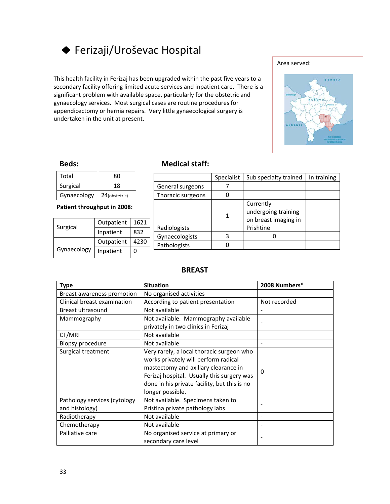

This health facility in Ferizaj has been upgraded within the past five years to a secondary facility offering limited acute services and inpatient care. There is a significant problem with available space, particularly for the obstetric and gynaecology services. Most surgical cases are routine procedures for appendicectomy or hernia repairs. Very little gynaecological surgery is undertaken in the unit at present.



| Total       | ጸበ            |
|-------------|---------------|
| Surgical    | 18            |
| Gynaecology | 24(obstetric) |

**Patient throughput in 2008:**

| Surgical    | Outpatient | 1621 |
|-------------|------------|------|
|             | Inpatient  | 832  |
|             | Outpatient | 4230 |
| Gynaecology | Inpatient  | n    |

### **Beds: Medical staff:**

|                   | Specialist | Sub specialty trained                                                 | In training |
|-------------------|------------|-----------------------------------------------------------------------|-------------|
| General surgeons  |            |                                                                       |             |
| Thoracic surgeons |            |                                                                       |             |
| Radiologists      | 1          | Currently<br>undergoing training<br>on breast imaging in<br>Prishtinë |             |
| Gynaecologists    |            |                                                                       |             |
| Pathologists      |            |                                                                       |             |
|                   |            |                                                                       |             |

| <b>Type</b>                  | <b>Situation</b>                             | 2008 Numbers* |
|------------------------------|----------------------------------------------|---------------|
| Breast awareness promotion   | No organised activities                      |               |
| Clinical breast examination  | According to patient presentation            | Not recorded  |
| Breast ultrasound            | Not available                                |               |
| Mammography                  | Not available. Mammography available         |               |
|                              | privately in two clinics in Ferizaj          |               |
| CT/MRI                       | Not available                                |               |
| Biopsy procedure             | Not available                                |               |
| Surgical treatment           | Very rarely, a local thoracic surgeon who    |               |
|                              | works privately will perform radical         |               |
|                              | mastectomy and axillary clearance in         | 0             |
|                              | Ferizaj hospital. Usually this surgery was   |               |
|                              | done in his private facility, but this is no |               |
|                              | longer possible.                             |               |
| Pathology services (cytology | Not available. Specimens taken to            |               |
| and histology)               | Pristina private pathology labs              |               |
| Radiotherapy                 | Not available                                |               |
| Chemotherapy                 | Not available                                |               |
| Palliative care              | No organised service at primary or           |               |
|                              | secondary care level                         |               |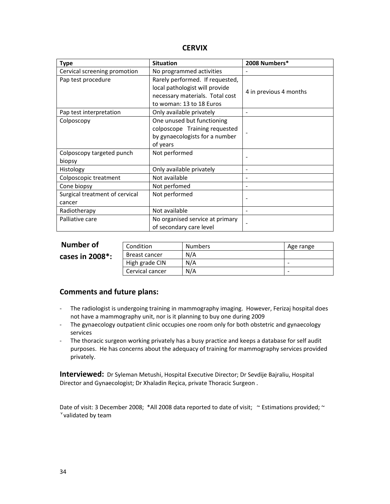| <b>Type</b>                    | <b>Situation</b>                | 2008 Numbers*            |
|--------------------------------|---------------------------------|--------------------------|
| Cervical screening promotion   | No programmed activities        |                          |
| Pap test procedure             | Rarely performed. If requested, |                          |
|                                | local pathologist will provide  | 4 in previous 4 months   |
|                                | necessary materials. Total cost |                          |
|                                | to woman: 13 to 18 Euros        |                          |
| Pap test interpretation        | Only available privately        |                          |
| Colposcopy                     | One unused but functioning      |                          |
|                                | colposcope Training requested   |                          |
|                                | by gynaecologists for a number  |                          |
|                                | of years                        |                          |
| Colposcopy targeted punch      | Not performed                   |                          |
| biopsy                         |                                 |                          |
| Histology                      | Only available privately        | $\overline{\phantom{a}}$ |
| Colposcopic treatment          | Not available                   |                          |
| Cone biopsy                    | Not perfomed                    |                          |
| Surgical treatment of cervical | Not performed                   |                          |
| cancer                         |                                 |                          |
| Radiotherapy                   | Not available                   | $\qquad \qquad -$        |
| Palliative care                | No organised service at primary |                          |
|                                | of secondary care level         |                          |

| Number of       | Condition            | <b>Numbers</b> | Age range                |
|-----------------|----------------------|----------------|--------------------------|
| cases in 2008*: | <b>Breast cancer</b> | N/A            |                          |
|                 | High grade CIN       | N/A            | -                        |
|                 | Cervical cancer      | N/A            | $\overline{\phantom{0}}$ |

### **Comments and future plans:**

- ‐ The radiologist is undergoing training in mammography imaging. However, Ferizaj hospital does not have a mammography unit, nor is it planning to buy one during 2009
- ‐ The gynaecology outpatient clinic occupies one room only for both obstetric and gynaecology services
- ‐ The thoracic surgeon working privately has a busy practice and keeps a database for self audit purposes. He has concerns about the adequacy of training for mammography services provided privately.

**Interviewed:** Dr Syleman Metushi, Hospital Executive Director; Dr Sevdije Bajraliu, Hospital Director and Gynaecologist; Dr Xhaladin Reçica, private Thoracic Surgeon .

Date of visit: 3 December 2008; \*All 2008 data reported to date of visit; ~ Estimations provided; ~ v validated by team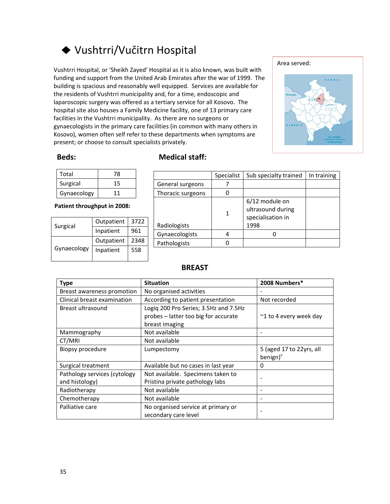## Vushtrri/Vučitrn Hospital

Vushtrri Hospital, or 'Sheikh Zayed' Hospital as it is also known, was built with funding and support from the United Arab Emirates after the war of 1999. The building is spacious and reasonably well equipped. Services are available for the residents of Vushtrri municipality and, for a time, endoscopic and laparoscopic surgery was offered as a tertiary service for all Kosovo. The hospital site also houses a Family Medicine facility, one of 13 primary care facilities in the Vushtrri municipality. As there are no surgeons or gynaecologists in the primary care facilities (in common with many others in Kosovo), women often self refer to these departments when symptoms are present; or choose to consult specialists privately.



| Total       | 78 |
|-------------|----|
| Surgical    | 15 |
| Gynaecology | 11 |

**Patient throughput in 2008:**

| Surgical    | Outpatient | 3722 |
|-------------|------------|------|
|             | Inpatient  | 961  |
| Gynaecology | Outpatient | 2348 |
|             | Inpatient  | 558  |
|             |            |      |

### **Beds: Medical staff:**

|                   | Specialist | Sub specialty trained                                            | In training |
|-------------------|------------|------------------------------------------------------------------|-------------|
| General surgeons  |            |                                                                  |             |
| Thoracic surgeons |            |                                                                  |             |
| Radiologists      | 1          | 6/12 module on<br>ultrasound during<br>specialisation in<br>1998 |             |
| Gynaecologists    |            |                                                                  |             |
| Pathologists      |            |                                                                  |             |

| <b>Type</b>                                    | <b>Situation</b>                                                                                | 2008 Numbers*                       |
|------------------------------------------------|-------------------------------------------------------------------------------------------------|-------------------------------------|
| Breast awareness promotion                     | No organised activities                                                                         |                                     |
| Clinical breast examination                    | According to patient presentation                                                               | Not recorded                        |
| Breast ultrasound                              | Logiq 200 Pro Series; 3.5Hz and 7.5Hz<br>probes - latter too big for accurate<br>breast imaging | $\approx$ 1 to 4 every week day     |
| Mammography                                    | Not available                                                                                   |                                     |
| CT/MRI                                         | Not available                                                                                   |                                     |
| Biopsy procedure                               | Lumpectomy                                                                                      | 5 (aged 17 to 22yrs, all<br>benign) |
| Surgical treatment                             | Available but no cases in last year                                                             | 0                                   |
| Pathology services (cytology<br>and histology) | Not available. Specimens taken to<br>Pristina private pathology labs                            |                                     |
| Radiotherapy                                   | Not available                                                                                   |                                     |
| Chemotherapy                                   | Not available                                                                                   |                                     |
| Palliative care                                | No organised service at primary or<br>secondary care level                                      |                                     |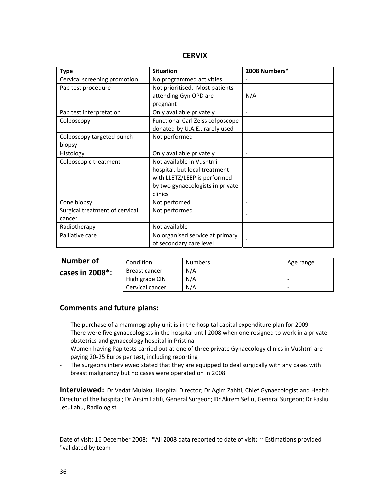| <b>Type</b>                    | <b>Situation</b>                 | 2008 Numbers*                |
|--------------------------------|----------------------------------|------------------------------|
| Cervical screening promotion   | No programmed activities         |                              |
| Pap test procedure             | Not prioritised. Most patients   |                              |
|                                | attending Gyn OPD are            | N/A                          |
|                                | pregnant                         |                              |
| Pap test interpretation        | Only available privately         |                              |
| Colposcopy                     | Functional Carl Zeiss colposcope |                              |
|                                | donated by U.A.E., rarely used   |                              |
| Colposcopy targeted punch      | Not performed                    |                              |
| biopsy                         |                                  |                              |
| Histology                      | Only available privately         | $\qquad \qquad \blacksquare$ |
| Colposcopic treatment          | Not available in Vushtrri        |                              |
|                                | hospital, but local treatment    |                              |
|                                | with LLETZ/LEEP is performed     | $\overline{\phantom{0}}$     |
|                                | by two gynaecologists in private |                              |
|                                | clinics                          |                              |
| Cone biopsy                    | Not perfomed                     | $\blacksquare$               |
| Surgical treatment of cervical | Not performed                    | $\qquad \qquad -$            |
| cancer                         |                                  |                              |
| Radiotherapy                   | Not available                    | $\blacksquare$               |
| Palliative care                | No organised service at primary  |                              |
|                                | of secondary care level          |                              |

| Number of                      | Condition       | <b>Numbers</b> | Age range |
|--------------------------------|-----------------|----------------|-----------|
| cases in $2008$ <sup>*</sup> : | Breast cancer   | N/A            |           |
|                                | High grade CIN  | N/A            | -         |
|                                | Cervical cancer | N/A            | -         |

### **Comments and future plans:**

- ‐ The purchase of a mammography unit is in the hospital capital expenditure plan for 2009
- ‐ There were five gynaecologists in the hospital until 2008 when one resigned to work in a private obstetrics and gynaecology hospital in Pristina
- ‐ Women having Pap tests carried out at one of three private Gynaecology clinics in Vushtrri are paying 20‐25 Euros per test, including reporting
- ‐ The surgeons interviewed stated that they are equipped to deal surgically with any cases with breast malignancy but no cases were operated on in 2008

**Interviewed:** Dr Vedat Mulaku, Hospital Director; Dr Agim Zahiti, Chief Gynaecologist and Health Director of the hospital; Dr Arsim Latifi, General Surgeon; Dr Akrem Sefiu, General Surgeon; Dr Fasliu Jetullahu, Radiologist

Date of visit: 16 December 2008; \*All 2008 data reported to date of visit; ~ Estimations provided v validated by team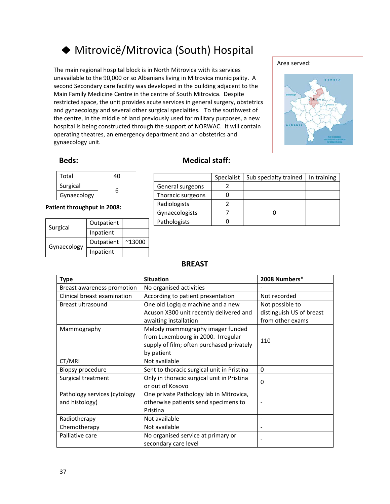## Mitrovicë/Mitrovica (South) Hospital

The main regional hospital block is in North Mitrovica with its services unavailable to the 90,000 or so Albanians living in Mitrovica municipality. A second Secondary care facility was developed in the building adjacent to the Main Family Medicine Centre in the centre of South Mitrovica. Despite restricted space, the unit provides acute services in general surgery, obstetrics and gynaecology and several other surgical specialties. To the southwest of the centre, in the middle of land previously used for military purposes, a new hospital is being constructed through the support of NORWAC. It will contain operating theatres, an emergency department and an obstetrics and gynaecology unit.



| Total       |   |
|-------------|---|
| Surgical    | հ |
| Gynaecology |   |

**Patient throughput in 2008:**

| Surgical    | Outpatient |                 |
|-------------|------------|-----------------|
|             | Inpatient  |                 |
| Gynaecology | Outpatient | $^{\sim}$ 13000 |
|             | Inpatient  |                 |

### **Beds: Medical staff:**

|                   | Specialist | Sub specialty trained | In training |
|-------------------|------------|-----------------------|-------------|
| General surgeons  |            |                       |             |
| Thoracic surgeons |            |                       |             |
| Radiologists      |            |                       |             |
| Gynaecologists    |            |                       |             |
| Pathologists      |            |                       |             |

| <b>Type</b>                  | <b>Situation</b>                           | 2008 Numbers*            |
|------------------------------|--------------------------------------------|--------------------------|
| Breast awareness promotion   | No organised activities                    |                          |
| Clinical breast examination  | According to patient presentation          | Not recorded             |
| Breast ultrasound            | One old Logiq $\alpha$ machine and a new   | Not possible to          |
|                              | Acuson X300 unit recently delivered and    | distinguish US of breast |
|                              | awaiting installation                      | from other exams         |
| Mammography                  | Melody mammography imager funded           |                          |
|                              | from Luxembourg in 2000. Irregular         | 110                      |
|                              | supply of film; often purchased privately  |                          |
|                              | by patient                                 |                          |
| CT/MRI                       | Not available                              |                          |
| Biopsy procedure             | Sent to thoracic surgical unit in Pristina | 0                        |
| Surgical treatment           | Only in thoracic surgical unit in Pristina | 0                        |
|                              | or out of Kosovo                           |                          |
| Pathology services (cytology | One private Pathology lab in Mitrovica,    |                          |
| and histology)               | otherwise patients send specimens to       |                          |
|                              | Pristina                                   |                          |
| Radiotherapy                 | Not available                              |                          |
| Chemotherapy                 | Not available                              |                          |
| Palliative care              | No organised service at primary or         |                          |
|                              | secondary care level                       |                          |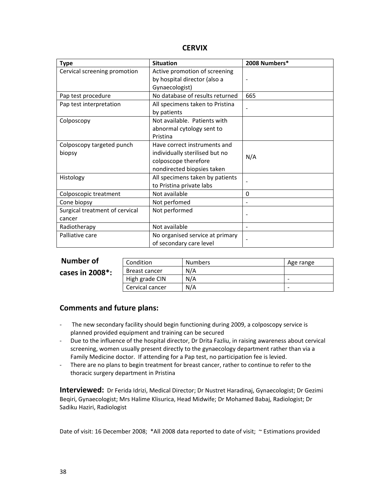| <b>Type</b>                    | <b>Situation</b>                | 2008 Numbers* |
|--------------------------------|---------------------------------|---------------|
| Cervical screening promotion   | Active promotion of screening   |               |
|                                | by hospital director (also a    |               |
|                                | Gynaecologist)                  |               |
| Pap test procedure             | No database of results returned | 665           |
| Pap test interpretation        | All specimens taken to Pristina |               |
|                                | by patients                     |               |
| Colposcopy                     | Not available. Patients with    |               |
|                                | abnormal cytology sent to       |               |
|                                | Pristina                        |               |
| Colposcopy targeted punch      | Have correct instruments and    |               |
| biopsy                         | individually sterilised but no  | N/A           |
|                                | colposcope therefore            |               |
|                                | nondirected biopsies taken      |               |
| Histology                      | All specimens taken by patients |               |
|                                | to Pristina private labs        |               |
| Colposcopic treatment          | Not available                   | 0             |
| Cone biopsy                    | Not perfomed                    |               |
| Surgical treatment of cervical | Not performed                   |               |
| cancer                         |                                 |               |
| Radiotherapy                   | Not available                   |               |
| Palliative care                | No organised service at primary |               |
|                                | of secondary care level         |               |

| Number of                      | Condition       | <b>Numbers</b> | Age range |
|--------------------------------|-----------------|----------------|-----------|
| cases in $2008$ <sup>*</sup> : | Breast cancer   | N/A            |           |
|                                | High grade CIN  | N/A            | -         |
|                                | Cervical cancer | N/A            | -         |

### **Comments and future plans:**

- ‐ The new secondary facility should begin functioning during 2009, a colposcopy service is planned provided equipment and training can be secured
- ‐ Due to the influence of the hospital director, Dr Drita Fazliu, in raising awareness about cervical screening, women usually present directly to the gynaecology department rather than via a Family Medicine doctor. If attending for a Pap test, no participation fee is levied.
- ‐ There are no plans to begin treatment for breast cancer, rather to continue to refer to the thoracic surgery department in Pristina

**Interviewed:** Dr Ferida Idrizi, Medical Director; Dr Nustret Haradinaj, Gynaecologist; Dr Gezimi Beqiri, Gynaecologist; Mrs Halime Klisurica, Head Midwife; Dr Mohamed Babaj, Radiologist; Dr Sadiku Haziri, Radiologist

Date of visit: 16 December 2008; \*All 2008 data reported to date of visit; ~ Estimations provided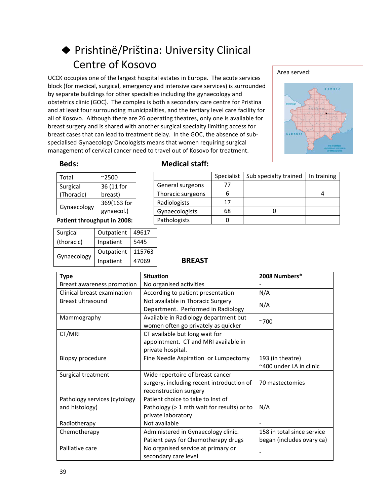## Prishtinë/Priština: University Clinical Centre of Kosovo

 UCCK occupies one of the largest hospital estates in Europe. The acute services block (for medical, surgical, emergency and intensive care services) is surrounded by separate buildings for other specialties including the gynaecology and obstetrics clinic (GOC). The complex is both a secondary care centre for Pristina and at least four surrounding municipalities, and the tertiary level care facility for all of Kosovo. Although there are 26 operating theatres, only one is available for breast surgery and is shared with another surgical specialty limiting access for breast cases that can lead to treatment delay. In the GOC, the absence of sub‐ specialised Gynaecology Oncologists means that women requiring surgical management of cervical cancer need to travel out of Kosovo for treatment.



| Total       | $^{\sim}2500$ |  |
|-------------|---------------|--|
| Surgical    | 36 (11 for    |  |
| (Thoracic)  | breast)       |  |
|             | 369(163 for   |  |
| Gynaecology | gynaecol.)    |  |

### **Patient throughput in 2008:**

| Surgical    | Outpatient | 49617  |
|-------------|------------|--------|
| (thoracic)  | Inpatient  | 5445   |
| Gynaecology | Outpatient | 115763 |
|             | Inpatient  | 47069  |

### **Beds: Medical staff:**

|                   | Specialist | Sub specialty trained | In training |
|-------------------|------------|-----------------------|-------------|
| General surgeons  | 77         |                       |             |
| Thoracic surgeons |            |                       |             |
| Radiologists      | 17         |                       |             |
| Gynaecologists    | 68         |                       |             |
| Pathologists      |            |                       |             |

| <b>Type</b>                  | <b>Situation</b>                           | 2008 Numbers*              |  |
|------------------------------|--------------------------------------------|----------------------------|--|
| Breast awareness promotion   | No organised activities                    |                            |  |
| Clinical breast examination  | According to patient presentation          | N/A                        |  |
| Breast ultrasound            | Not available in Thoracic Surgery          | N/A                        |  |
|                              | Department. Performed in Radiology         |                            |  |
| Mammography                  | Available in Radiology department but      | $^{\sim}700$               |  |
|                              | women often go privately as quicker        |                            |  |
| CT/MRI                       | CT available but long wait for             |                            |  |
|                              | appointment. CT and MRI available in       |                            |  |
|                              | private hospital.                          |                            |  |
| Biopsy procedure             | Fine Needle Aspiration or Lumpectomy       | 193 (in theatre)           |  |
|                              |                                            | ~400 under LA in clinic    |  |
| Surgical treatment           | Wide repertoire of breast cancer           |                            |  |
|                              | surgery, including recent introduction of  | 70 mastectomies            |  |
|                              | reconstruction surgery                     |                            |  |
| Pathology services (cytology | Patient choice to take to Inst of          |                            |  |
| and histology)               | Pathology (> 1 mth wait for results) or to | N/A                        |  |
|                              | private laboratory                         |                            |  |
| Radiotherapy                 | Not available                              |                            |  |
| Chemotherapy                 | Administered in Gynaecology clinic.        | 158 in total since service |  |
|                              | Patient pays for Chemotherapy drugs        | began (includes ovary ca)  |  |
| Palliative care              | No organised service at primary or         |                            |  |
|                              | secondary care level                       |                            |  |